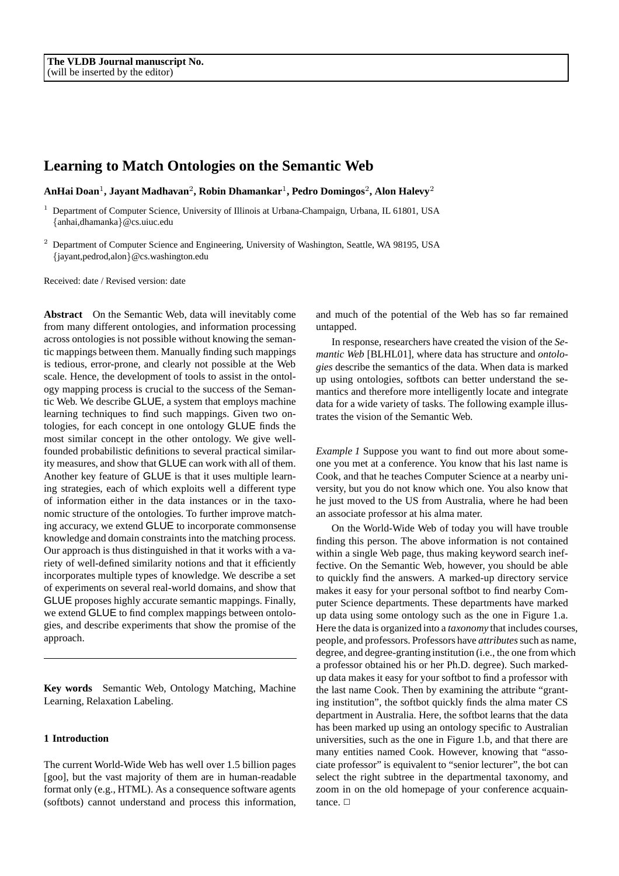# **Learning to Match Ontologies on the Semantic Web**

**AnHai Doan**<sup>1</sup> **, Jayant Madhavan**<sup>2</sup> **, Robin Dhamankar**<sup>1</sup> **, Pedro Domingos**<sup>2</sup> **, Alon Halevy**<sup>2</sup>

- <sup>1</sup> Department of Computer Science, University of Illinois at Urbana-Champaign, Urbana, IL 61801, USA {anhai,dhamanka}@cs.uiuc.edu
- <sup>2</sup> Department of Computer Science and Engineering, University of Washington, Seattle, WA 98195, USA {jayant,pedrod,alon}@cs.washington.edu

Received: date / Revised version: date

**Abstract** On the Semantic Web, data will inevitably come from many different ontologies, and information processing across ontologies is not possible without knowing the semantic mappings between them. Manually finding such mappings is tedious, error-prone, and clearly not possible at the Web scale. Hence, the development of tools to assist in the ontology mapping process is crucial to the success of the Semantic Web. We describe GLUE, a system that employs machine learning techniques to find such mappings. Given two ontologies, for each concept in one ontology GLUE finds the most similar concept in the other ontology. We give wellfounded probabilistic definitions to several practical similarity measures, and show that GLUE can work with all of them. Another key feature of GLUE is that it uses multiple learning strategies, each of which exploits well a different type of information either in the data instances or in the taxonomic structure of the ontologies. To further improve matching accuracy, we extend GLUE to incorporate commonsense knowledge and domain constraints into the matching process. Our approach is thus distinguished in that it works with a variety of well-defined similarity notions and that it efficiently incorporates multiple types of knowledge. We describe a set of experiments on several real-world domains, and show that GLUE proposes highly accurate semantic mappings. Finally, we extend GLUE to find complex mappings between ontologies, and describe experiments that show the promise of the approach.

**Key words** Semantic Web, Ontology Matching, Machine Learning, Relaxation Labeling.

# **1 Introduction**

The current World-Wide Web has well over 1.5 billion pages [goo], but the vast majority of them are in human-readable format only (e.g., HTML). As a consequence software agents (softbots) cannot understand and process this information, and much of the potential of the Web has so far remained untapped.

In response, researchers have created the vision of the *Semantic Web* [BLHL01], where data has structure and *ontologies* describe the semantics of the data. When data is marked up using ontologies, softbots can better understand the semantics and therefore more intelligently locate and integrate data for a wide variety of tasks. The following example illustrates the vision of the Semantic Web.

*Example 1* Suppose you want to find out more about someone you met at a conference. You know that his last name is Cook, and that he teaches Computer Science at a nearby university, but you do not know which one. You also know that he just moved to the US from Australia, where he had been an associate professor at his alma mater.

On the World-Wide Web of today you will have trouble finding this person. The above information is not contained within a single Web page, thus making keyword search ineffective. On the Semantic Web, however, you should be able to quickly find the answers. A marked-up directory service makes it easy for your personal softbot to find nearby Computer Science departments. These departments have marked up data using some ontology such as the one in Figure 1.a. Here the data is organized into a *taxonomy* that includes courses, people, and professors. Professors have *attributes* such as name, degree, and degree-granting institution (i.e., the one from which a professor obtained his or her Ph.D. degree). Such markedup data makes it easy for your softbot to find a professor with the last name Cook. Then by examining the attribute "granting institution", the softbot quickly finds the alma mater CS department in Australia. Here, the softbot learns that the data has been marked up using an ontology specific to Australian universities, such as the one in Figure 1.b, and that there are many entities named Cook. However, knowing that "associate professor" is equivalent to "senior lecturer", the bot can select the right subtree in the departmental taxonomy, and zoom in on the old homepage of your conference acquaintance.  $\Box$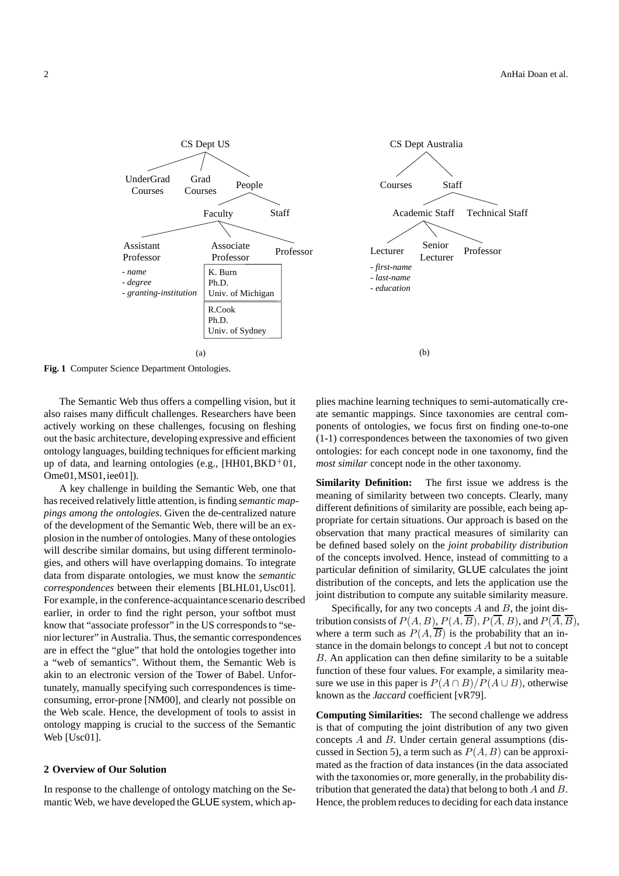

**Fig. 1** Computer Science Department Ontologies.

The Semantic Web thus offers a compelling vision, but it also raises many difficult challenges. Researchers have been actively working on these challenges, focusing on fleshing out the basic architecture, developing expressive and efficient ontology languages, building techniques for efficient marking up of data, and learning ontologies (e.g.,  $[HH01,BKD^+01,$ Ome01,MS01,iee01]).

A key challenge in building the Semantic Web, one that has received relatively little attention, is finding *semantic mappings among the ontologies*. Given the de-centralized nature of the development of the Semantic Web, there will be an explosion in the number of ontologies. Many of these ontologies will describe similar domains, but using different terminologies, and others will have overlapping domains. To integrate data from disparate ontologies, we must know the *semantic correspondences* between their elements [BLHL01,Usc01]. For example, in the conference-acquaintance scenario described earlier, in order to find the right person, your softbot must know that "associate professor" in the US corresponds to "senior lecturer" in Australia. Thus, the semantic correspondences are in effect the "glue" that hold the ontologies together into a "web of semantics". Without them, the Semantic Web is akin to an electronic version of the Tower of Babel. Unfortunately, manually specifying such correspondences is timeconsuming, error-prone [NM00], and clearly not possible on the Web scale. Hence, the development of tools to assist in ontology mapping is crucial to the success of the Semantic Web [Usc01].

# **2 Overview of Our Solution**

In response to the challenge of ontology matching on the Semantic Web, we have developed the GLUE system, which applies machine learning techniques to semi-automatically create semantic mappings. Since taxonomies are central components of ontologies, we focus first on finding one-to-one (1-1) correspondences between the taxonomies of two given ontologies: for each concept node in one taxonomy, find the *most similar* concept node in the other taxonomy.

**Similarity Definition:** The first issue we address is the meaning of similarity between two concepts. Clearly, many different definitions of similarity are possible, each being appropriate for certain situations. Our approach is based on the observation that many practical measures of similarity can be defined based solely on the *joint probability distribution* of the concepts involved. Hence, instead of committing to a particular definition of similarity, GLUE calculates the joint distribution of the concepts, and lets the application use the joint distribution to compute any suitable similarity measure.

Specifically, for any two concepts  $A$  and  $B$ , the joint distribution consists of  $P(A, B), P(A, \overline{B}), P(\overline{A}, B)$ , and  $P(\overline{A}, \overline{B})$ , where a term such as  $P(A, \overline{B})$  is the probability that an instance in the domain belongs to concept A but not to concept B. An application can then define similarity to be a suitable function of these four values. For example, a similarity measure we use in this paper is  $P(A \cap B)/P(A \cup B)$ , otherwise known as the *Jaccard* coefficient [vR79].

**Computing Similarities:** The second challenge we address is that of computing the joint distribution of any two given concepts A and B. Under certain general assumptions (discussed in Section 5), a term such as  $P(A, B)$  can be approximated as the fraction of data instances (in the data associated with the taxonomies or, more generally, in the probability distribution that generated the data) that belong to both  $A$  and  $B$ . Hence, the problem reduces to deciding for each data instance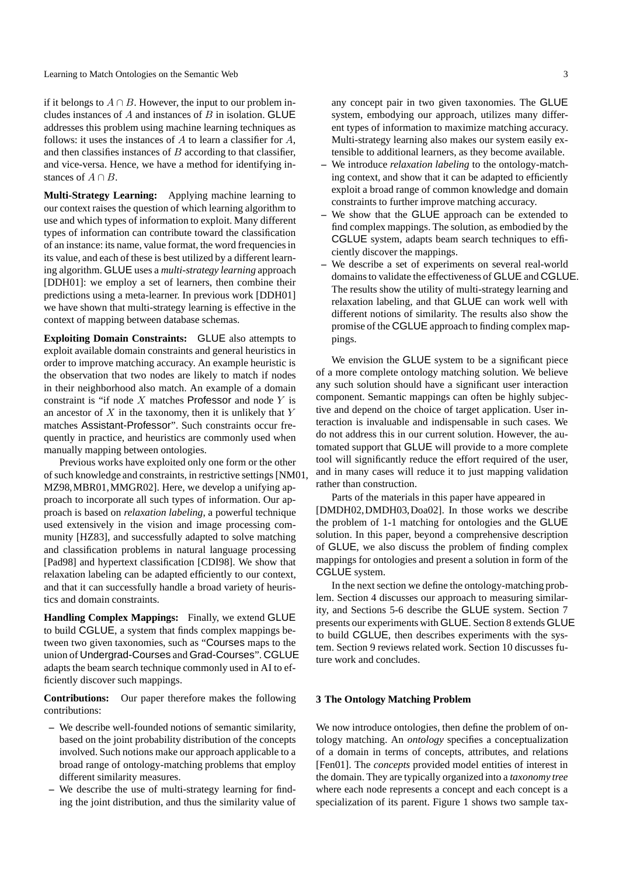if it belongs to  $A \cap B$ . However, the input to our problem includes instances of  $A$  and instances of  $B$  in isolation. GLUE addresses this problem using machine learning techniques as follows: it uses the instances of  $A$  to learn a classifier for  $A$ , and then classifies instances of  $B$  according to that classifier, and vice-versa. Hence, we have a method for identifying instances of  $A \cap B$ .

**Multi-Strategy Learning:** Applying machine learning to our context raises the question of which learning algorithm to use and which types of information to exploit. Many different types of information can contribute toward the classification of an instance: its name, value format, the word frequenciesin its value, and each of these is best utilized by a different learning algorithm. GLUE uses a *multi-strategy learning* approach [DDH01]: we employ a set of learners, then combine their predictions using a meta-learner. In previous work [DDH01] we have shown that multi-strategy learning is effective in the context of mapping between database schemas.

**Exploiting Domain Constraints:** GLUE also attempts to exploit available domain constraints and general heuristics in order to improve matching accuracy. An example heuristic is the observation that two nodes are likely to match if nodes in their neighborhood also match. An example of a domain constraint is "if node  $X$  matches Professor and node  $Y$  is an ancestor of  $X$  in the taxonomy, then it is unlikely that  $Y$ matches Assistant-Professor". Such constraints occur frequently in practice, and heuristics are commonly used when manually mapping between ontologies.

Previous works have exploited only one form or the other of such knowledge and constraints, in restrictive settings [NM01, MZ98,MBR01,MMGR02]. Here, we develop a unifying approach to incorporate all such types of information. Our approach is based on *relaxation labeling*, a powerful technique used extensively in the vision and image processing community [HZ83], and successfully adapted to solve matching and classification problems in natural language processing [Pad98] and hypertext classification [CDI98]. We show that relaxation labeling can be adapted efficiently to our context, and that it can successfully handle a broad variety of heuristics and domain constraints.

**Handling Complex Mappings:** Finally, we extend GLUE to build CGLUE, a system that finds complex mappings between two given taxonomies, such as "Courses maps to the union of Undergrad-Courses and Grad-Courses". CGLUE adapts the beam search technique commonly used in AI to efficiently discover such mappings.

**Contributions:** Our paper therefore makes the following contributions:

- **–** We describe well-founded notions of semantic similarity, based on the joint probability distribution of the concepts involved. Such notions make our approach applicable to a broad range of ontology-matching problems that employ different similarity measures.
- **–** We describe the use of multi-strategy learning for finding the joint distribution, and thus the similarity value of

any concept pair in two given taxonomies. The GLUE system, embodying our approach, utilizes many different types of information to maximize matching accuracy. Multi-strategy learning also makes our system easily extensible to additional learners, as they become available.

- **–** We introduce *relaxation labeling* to the ontology-matching context, and show that it can be adapted to efficiently exploit a broad range of common knowledge and domain constraints to further improve matching accuracy.
- **–** We show that the GLUE approach can be extended to find complex mappings. The solution, as embodied by the CGLUE system, adapts beam search techniques to efficiently discover the mappings.
- **–** We describe a set of experiments on several real-world domainsto validate the effectiveness of GLUE and CGLUE. The results show the utility of multi-strategy learning and relaxation labeling, and that GLUE can work well with different notions of similarity. The results also show the promise of the CGLUE approach to finding complex mappings.

We envision the GLUE system to be a significant piece of a more complete ontology matching solution. We believe any such solution should have a significant user interaction component. Semantic mappings can often be highly subjective and depend on the choice of target application. User interaction is invaluable and indispensable in such cases. We do not address this in our current solution. However, the automated support that GLUE will provide to a more complete tool will significantly reduce the effort required of the user, and in many cases will reduce it to just mapping validation rather than construction.

Parts of the materials in this paper have appeared in [DMDH02,DMDH03,Doa02]. In those works we describe the problem of 1-1 matching for ontologies and the GLUE solution. In this paper, beyond a comprehensive description of GLUE, we also discuss the problem of finding complex mappings for ontologies and present a solution in form of the CGLUE system.

In the next section we define the ontology-matching problem. Section 4 discusses our approach to measuring similarity, and Sections 5-6 describe the GLUE system. Section 7 presents our experiments with GLUE. Section 8 extends GLUE to build CGLUE, then describes experiments with the system. Section 9 reviews related work. Section 10 discusses future work and concludes.

#### **3 The Ontology Matching Problem**

We now introduce ontologies, then define the problem of ontology matching. An *ontology* specifies a conceptualization of a domain in terms of concepts, attributes, and relations [Fen01]. The *concepts* provided model entities of interest in the domain. They are typically organized into a *taxonomy tree* where each node represents a concept and each concept is a specialization of its parent. Figure 1 shows two sample tax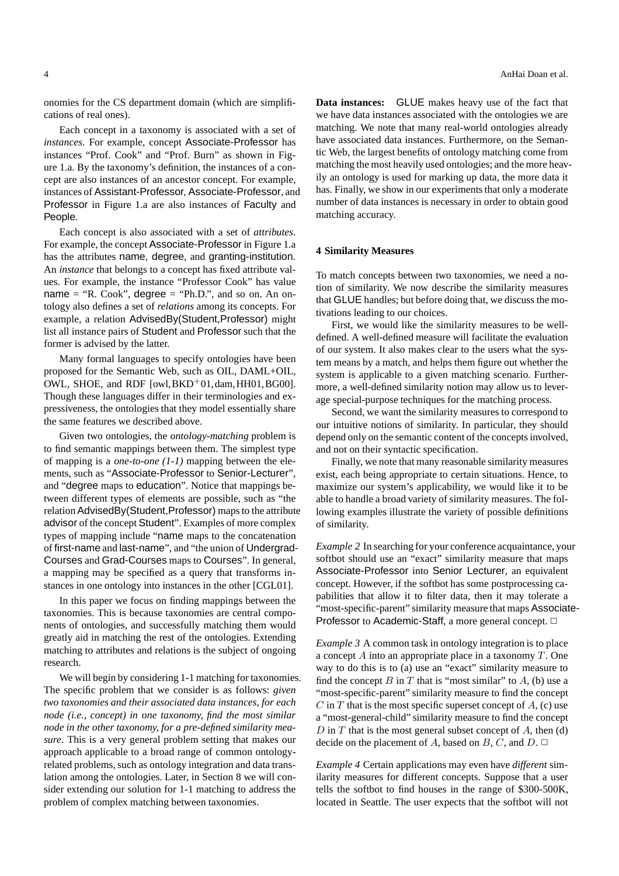onomies for the CS department domain (which are simplifications of real ones).

Each concept in a taxonomy is associated with a set of *instances*. For example, concept Associate-Professor has instances "Prof. Cook" and "Prof. Burn" as shown in Figure 1.a. By the taxonomy's definition, the instances of a concept are also instances of an ancestor concept. For example, instances of Assistant-Professor, Associate-Professor, and Professor in Figure 1.a are also instances of Faculty and People.

Each concept is also associated with a set of *attributes*. For example, the concept Associate-Professor in Figure 1.a has the attributes name, degree, and granting-institution. An *instance* that belongs to a concept has fixed attribute values. For example, the instance "Professor Cook" has value name  $=$  "R. Cook", degree  $=$  "Ph.D.", and so on. An ontology also defines a set of *relations* among its concepts. For example, a relation AdvisedBy(Student,Professor) might list all instance pairs of Student and Professor such that the former is advised by the latter.

Many formal languages to specify ontologies have been proposed for the Semantic Web, such as OIL, DAML+OIL, OWL, SHOE, and RDF [owl, BKD<sup>+</sup>01, dam, HH01, BG00]. Though these languages differ in their terminologies and expressiveness, the ontologies that they model essentially share the same features we described above.

Given two ontologies, the *ontology-matching* problem is to find semantic mappings between them. The simplest type of mapping is a *one-to-one (1-1)* mapping between the elements, such as "Associate-Professor to Senior-Lecturer", and "degree maps to education". Notice that mappings between different types of elements are possible, such as "the relation AdvisedBy(Student, Professor) maps to the attribute advisor of the concept Student". Examples of more complex types of mapping include "name maps to the concatenation of first-name and last-name", and "the union of Undergrad-Courses and Grad-Courses maps to Courses". In general, a mapping may be specified as a query that transforms instances in one ontology into instances in the other [CGL01].

In this paper we focus on finding mappings between the taxonomies. This is because taxonomies are central components of ontologies, and successfully matching them would greatly aid in matching the rest of the ontologies. Extending matching to attributes and relations is the subject of ongoing research.

We will begin by considering 1-1 matching for taxonomies. The specific problem that we consider is as follows: *given two taxonomies and their associated data instances, for each node (i.e., concept) in one taxonomy, find the most similar node in the other taxonomy, for a pre-defined similarity measure*. This is a very general problem setting that makes our approach applicable to a broad range of common ontologyrelated problems, such as ontology integration and data translation among the ontologies. Later, in Section 8 we will consider extending our solution for 1-1 matching to address the problem of complex matching between taxonomies.

**Data instances:** GLUE makes heavy use of the fact that we have data instances associated with the ontologies we are matching. We note that many real-world ontologies already have associated data instances. Furthermore, on the Semantic Web, the largest benefits of ontology matching come from matching the most heavily used ontologies; and the more heavily an ontology is used for marking up data, the more data it has. Finally, we show in our experiments that only a moderate number of data instances is necessary in order to obtain good matching accuracy.

#### **4 Similarity Measures**

To match concepts between two taxonomies, we need a notion of similarity. We now describe the similarity measures that GLUE handles; but before doing that, we discuss the motivations leading to our choices.

First, we would like the similarity measures to be welldefined. A well-defined measure will facilitate the evaluation of our system. It also makes clear to the users what the system means by a match, and helps them figure out whether the system is applicable to a given matching scenario. Furthermore, a well-defined similarity notion may allow us to leverage special-purpose techniques for the matching process.

Second, we want the similarity measures to correspond to our intuitive notions of similarity. In particular, they should depend only on the semantic content of the concepts involved, and not on their syntactic specification.

Finally, we note that many reasonable similarity measures exist, each being appropriate to certain situations. Hence, to maximize our system's applicability, we would like it to be able to handle a broad variety of similarity measures. The following examples illustrate the variety of possible definitions of similarity.

*Example 2* In searching for your conference acquaintance, your softbot should use an "exact" similarity measure that maps Associate-Professor into Senior Lecturer, an equivalent concept. However, if the softbot has some postprocessing capabilities that allow it to filter data, then it may tolerate a "most-specific-parent" similarity measure that maps Associate-Professor to Academic-Staff, a more general concept.  $\Box$ 

*Example 3* A common task in ontology integration is to place a concept  $A$  into an appropriate place in a taxonomy  $T$ . One way to do this is to (a) use an "exact" similarity measure to find the concept  $B$  in  $T$  that is "most similar" to  $A$ , (b) use a "most-specific-parent" similarity measure to find the concept  $C$  in  $T$  that is the most specific superset concept of  $A$ , (c) use a "most-general-child" similarity measure to find the concept D in  $T$  that is the most general subset concept of  $A$ , then (d) decide on the placement of A, based on B, C, and  $D \square$ 

*Example 4* Certain applications may even have *different* similarity measures for different concepts. Suppose that a user tells the softbot to find houses in the range of \$300-500K, located in Seattle. The user expects that the softbot will not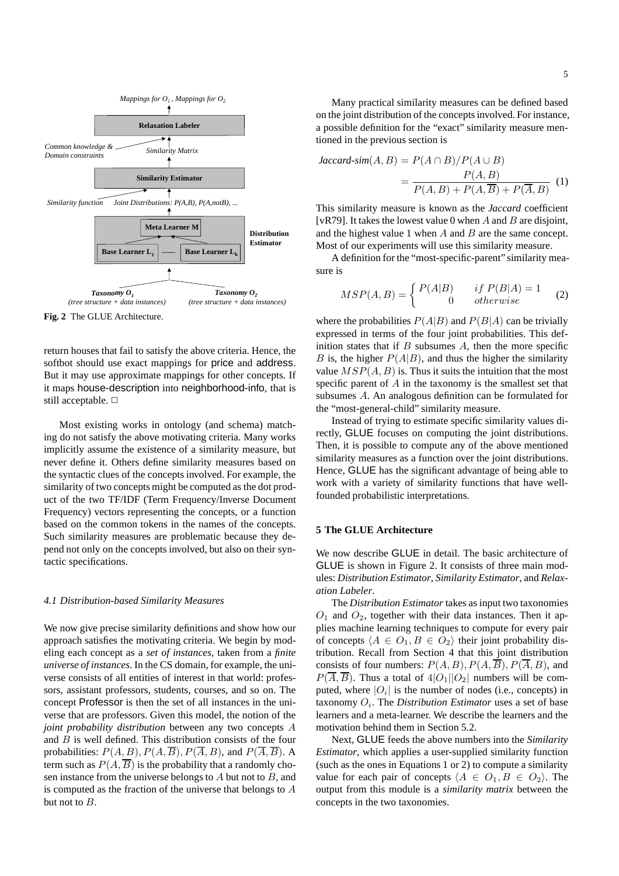

**Fig. 2** The GLUE Architecture.

return houses that fail to satisfy the above criteria. Hence, the softbot should use exact mappings for price and address. But it may use approximate mappings for other concepts. If it maps house-description into neighborhood-info, that is still acceptable.  $\Box$ 

Most existing works in ontology (and schema) matching do not satisfy the above motivating criteria. Many works implicitly assume the existence of a similarity measure, but never define it. Others define similarity measures based on the syntactic clues of the concepts involved. For example, the similarity of two concepts might be computed as the dot product of the two TF/IDF (Term Frequency/Inverse Document Frequency) vectors representing the concepts, or a function based on the common tokens in the names of the concepts. Such similarity measures are problematic because they depend not only on the concepts involved, but also on their syntactic specifications.

#### *4.1 Distribution-based Similarity Measures*

We now give precise similarity definitions and show how our approach satisfies the motivating criteria. We begin by modeling each concept as a *set of instances*, taken from a *finite universe of instances*. In the CS domain, for example, the universe consists of all entities of interest in that world: professors, assistant professors, students, courses, and so on. The concept Professor is then the set of all instances in the universe that are professors. Given this model, the notion of the *joint probability distribution* between any two concepts A and B is well defined. This distribution consists of the four probabilities:  $P(A, B), P(A, \overline{B}), P(\overline{A}, B)$ , and  $P(\overline{A}, \overline{B})$ . A term such as  $P(A, \overline{B})$  is the probability that a randomly chosen instance from the universe belongs to  $A$  but not to  $B$ , and is computed as the fraction of the universe that belongs to A but not to B.

$$
Jaccard\text{-}sim(A, B) = P(A \cap B)/P(A \cup B)
$$

$$
= \frac{P(A, B)}{P(A, B) + P(A, \overline{B}) + P(\overline{A}, B)} \quad (1)
$$

This similarity measure is known as the *Jaccard* coefficient [vR79]. It takes the lowest value 0 when  $A$  and  $B$  are disjoint, and the highest value 1 when A and B are the same concept. Most of our experiments will use this similarity measure.

A definition for the "most-specific-parent" similarity measure is

$$
MSP(A,B) = \begin{cases} P(A|B) & \text{if } P(B|A) = 1\\ 0 & \text{otherwise} \end{cases} \tag{2}
$$

where the probabilities  $P(A|B)$  and  $P(B|A)$  can be trivially expressed in terms of the four joint probabilities. This definition states that if  $B$  subsumes  $A$ , then the more specific B is, the higher  $P(A|B)$ , and thus the higher the similarity value  $MSP(A, B)$  is. Thus it suits the intuition that the most specific parent of A in the taxonomy is the smallest set that subsumes A. An analogous definition can be formulated for the "most-general-child" similarity measure.

Instead of trying to estimate specific similarity values directly, GLUE focuses on computing the joint distributions. Then, it is possible to compute any of the above mentioned similarity measures as a function over the joint distributions. Hence, GLUE has the significant advantage of being able to work with a variety of similarity functions that have wellfounded probabilistic interpretations.

# **5 The GLUE Architecture**

We now describe GLUE in detail. The basic architecture of GLUE is shown in Figure 2. It consists of three main modules: *Distribution Estimator*, *Similarity Estimator*, and *Relaxation Labeler*.

The *Distribution Estimator* takes as input two taxonomies  $O_1$  and  $O_2$ , together with their data instances. Then it applies machine learning techniques to compute for every pair of concepts  $\langle A \in O_1, B \in O_2 \rangle$  their joint probability distribution. Recall from Section 4 that this joint distribution consists of four numbers:  $P(A, B), P(A, \overline{B}), P(\overline{A}, B)$ , and  $P(\overline{A}, \overline{B})$ . Thus a total of  $4|O_1||O_2|$  numbers will be computed, where  $|O_i|$  is the number of nodes (i.e., concepts) in  $t$ axonomy  $O_i$ . The *Distribution Estimator* uses a set of base learners and a meta-learner. We describe the learners and the motivation behind them in Section 5.2.

Next, GLUE feeds the above numbers into the *Similarity Estimator*, which applies a user-supplied similarity function (such as the ones in Equations 1 or 2) to compute a similarity value for each pair of concepts  $\{A \in O_1, B \in O_2\}$ . The output from this module is a *similarity matrix* between the concepts in the two taxonomies.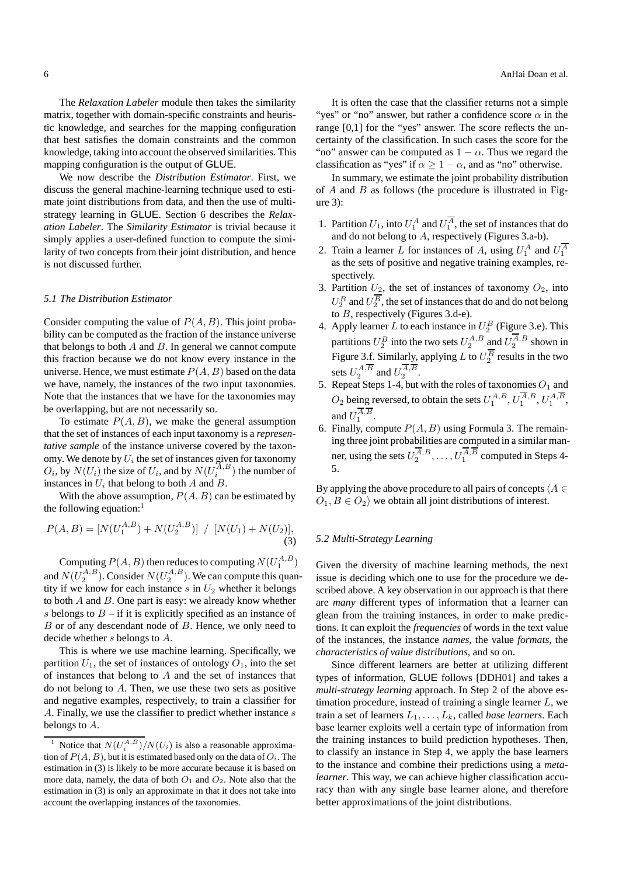The *Relaxation Labeler* module then takes the similarity matrix, together with domain-specific constraints and heuristic knowledge, and searches for the mapping configuration that best satisfies the domain constraints and the common knowledge, taking into account the observed similarities. This mapping configuration is the output of GLUE.

We now describe the *Distribution Estimator*. First, we discuss the general machine-learning technique used to estimate joint distributions from data, and then the use of multistrategy learning in GLUE. Section 6 describes the *Relaxation Labeler*. The *Similarity Estimator* is trivial because it simply applies a user-defined function to compute the similarity of two concepts from their joint distribution, and hence is not discussed further.

#### *5.1 The Distribution Estimator*

Consider computing the value of  $P(A, B)$ . This joint probability can be computed as the fraction of the instance universe that belongs to both  $A$  and  $B$ . In general we cannot compute this fraction because we do not know every instance in the universe. Hence, we must estimate  $P(A, B)$  based on the data we have, namely, the instances of the two input taxonomies. Note that the instances that we have for the taxonomies may be overlapping, but are not necessarily so.

To estimate  $P(A, B)$ , we make the general assumption that the set of instances of each input taxonomy is a *representative sample* of the instance universe covered by the taxonomy. We denote by  $U_i$  the set of instances given for taxonomy  $O_i$ , by  $N(U_i)$  the size of  $U_i$ , and by  $N(U_i^{A,B})$  the number of instances in  $U_i$  that belong to both  $A$  and  $B$ .

With the above assumption,  $P(A, B)$  can be estimated by the following equation: $<sup>1</sup>$ </sup>

$$
P(A,B) = [N(U_1^{A,B}) + N(U_2^{A,B})] / [N(U_1) + N(U_2)],
$$
\n(3)

Computing  $P(A, B)$  then reduces to computing  $N(U_1^{A,B})$ and  $N(U_2^{A,B})$ . Consider  $N(U_2^{A,B})$ . We can compute this quantity if we know for each instance  $s$  in  $U_2$  whether it belongs to both A and B. One part is easy: we already know whether s belongs to  $B - if$  it is explicitly specified as an instance of  $B$  or of any descendant node of  $B$ . Hence, we only need to decide whether s belongs to A.

This is where we use machine learning. Specifically, we partition  $U_1$ , the set of instances of ontology  $O_1$ , into the set of instances that belong to A and the set of instances that do not belong to A. Then, we use these two sets as positive and negative examples, respectively, to train a classifier for A. Finally, we use the classifier to predict whether instance s belongs to A.

It is often the case that the classifier returns not a simple "yes" or "no" answer, but rather a confidence score  $\alpha$  in the range [0,1] for the "yes" answer. The score reflects the uncertainty of the classification. In such cases the score for the "no" answer can be computed as  $1 - \alpha$ . Thus we regard the classification as "yes" if  $\alpha \geq 1 - \alpha$ , and as "no" otherwise.

In summary, we estimate the joint probability distribution of  $A$  and  $B$  as follows (the procedure is illustrated in Figure 3):

- 1. Partition  $U_1$ , into  $U_1^A$  and  $U_1^A$ , the set of instances that do and do not belong to A, respectively (Figures 3.a-b).
- 2. Train a learner L for instances of A, using  $U_1^A$  and  $U_1^A$ as the sets of positive and negative training examples, respectively.
- 3. Partition  $U_2$ , the set of instances of taxonomy  $O_2$ , into  $U_2^B$  and  $U_2^B$ , the set of instances that do and do not belong to B, respectively (Figures 3.d-e).
- 4. Apply learner L to each instance in  $U_2^B$  (Figure 3.e). This 2 partitions  $U_2^B$  into the two sets  $U_2^{A,B}$  and  $U_2^{A,B}$  shown in Figure 3.f. Similarly, applying L to  $U_2^B$  results in the two sets  $U_2^{A,B}$  and  $U_2^{A,B}$ .
- 5. Repeat Steps 1-4, but with the roles of taxonomies  $O_1$  and  $O_2$  being reversed, to obtain the sets  $U_1^{A,B}, U_1^{A,B}, U_1^{A,B}$ , and  $U_1^{A,B}$ .
- 6. Finally, compute  $P(A, B)$  using Formula 3. The remaining three joint probabilities are computed in a similar manner, using the sets  $U_2^{A,B}, \ldots, U_1^{A,B}$  computed in Steps 4-5.

By applying the above procedure to all pairs of concepts  $\langle A \in$  $O_1, B \in O_2$  we obtain all joint distributions of interest.

# *5.2 Multi-Strategy Learning*

Given the diversity of machine learning methods, the next issue is deciding which one to use for the procedure we described above. A key observation in our approach is that there are *many* different types of information that a learner can glean from the training instances, in order to make predictions. It can exploit the *frequencies* of words in the text value of the instances, the instance *names*, the value *formats*, the *characteristics of value distributions*, and so on.

Since different learners are better at utilizing different types of information, GLUE follows [DDH01] and takes a *multi-strategy learning* approach. In Step 2 of the above estimation procedure, instead of training a single learner  $L$ , we train a set of learners  $L_1, \ldots, L_k$ , called *base learners*. Each base learner exploits well a certain type of information from the training instances to build prediction hypotheses. Then, to classify an instance in Step 4, we apply the base learners to the instance and combine their predictions using a *metalearner*. This way, we can achieve higher classification accuracy than with any single base learner alone, and therefore better approximations of the joint distributions.

<sup>&</sup>lt;sup>1</sup> Notice that  $N(U_i^{A,B})/N(U_i)$  is also a reasonable approximation of  $P(A, B)$ , but it is estimated based only on the data of  $O_i$ . The estimation in (3) is likely to be more accurate because it is based on more data, namely, the data of both  $O_1$  and  $O_2$ . Note also that the estimation in (3) is only an approximate in that it does not take into account the overlapping instances of the taxonomies.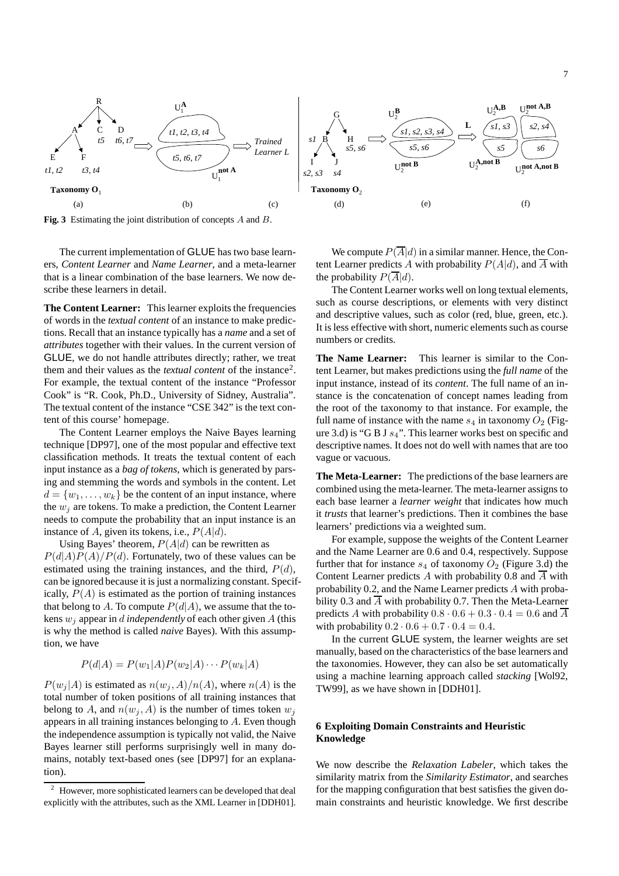

**Fig. 3** Estimating the joint distribution of concepts A and B.

The current implementation of GLUE has two base learners, *Content Learner* and *Name Learner*, and a meta-learner that is a linear combination of the base learners. We now describe these learners in detail.

**The Content Learner:** This learner exploits the frequencies of words in the *textual content* of an instance to make predictions. Recall that an instance typically has a *name* and a set of *attributes* together with their values. In the current version of GLUE, we do not handle attributes directly; rather, we treat them and their values as the *textual content* of the instance<sup>2</sup>. For example, the textual content of the instance "Professor Cook" is "R. Cook, Ph.D., University of Sidney, Australia". The textual content of the instance "CSE 342" is the text content of this course' homepage.

The Content Learner employs the Naive Bayes learning technique [DP97], one of the most popular and effective text classification methods. It treats the textual content of each input instance as a *bag of tokens*, which is generated by parsing and stemming the words and symbols in the content. Let  $d = \{w_1, \ldots, w_k\}$  be the content of an input instance, where the  $w_i$  are tokens. To make a prediction, the Content Learner needs to compute the probability that an input instance is an instance of A, given its tokens, i.e.,  $P(A|d)$ .

Using Bayes' theorem,  $P(A|d)$  can be rewritten as  $P(d|A)P(A)/P(d)$ . Fortunately, two of these values can be estimated using the training instances, and the third,  $P(d)$ , can be ignored because it is just a normalizing constant. Specifically,  $P(A)$  is estimated as the portion of training instances that belong to A. To compute  $P(d|A)$ , we assume that the tokens w<sup>j</sup> appear in d *independently* of each other given A (this is why the method is called *naive* Bayes). With this assumption, we have

$$
P(d|A) = P(w_1|A)P(w_2|A)\cdots P(w_k|A)
$$

 $P(w_i | A)$  is estimated as  $n(w_i, A)/n(A)$ , where  $n(A)$  is the total number of token positions of all training instances that belong to A, and  $n(w_i, A)$  is the number of times token  $w_i$ appears in all training instances belonging to A. Even though the independence assumption is typically not valid, the Naive Bayes learner still performs surprisingly well in many domains, notably text-based ones (see [DP97] for an explanation).



We compute  $P(\overline{A}|d)$  in a similar manner. Hence, the Content Learner predicts A with probability  $P(A|d)$ , and  $\overline{A}$  with the probability  $P(\overline{A}|d)$ .

The Content Learner works well on long textual elements, such as course descriptions, or elements with very distinct and descriptive values, such as color (red, blue, green, etc.). It is less effective with short, numeric elements such as course numbers or credits.

**The Name Learner:** This learner is similar to the Content Learner, but makes predictions using the *full name* of the input instance, instead of its *content*. The full name of an instance is the concatenation of concept names leading from the root of the taxonomy to that instance. For example, the full name of instance with the name  $s_4$  in taxonomy  $O_2$  (Figure 3.d) is "G B J  $s_4$ ". This learner works best on specific and descriptive names. It does not do well with names that are too vague or vacuous.

**The Meta-Learner:** The predictions of the base learners are combined using the meta-learner. The meta-learner assigns to each base learner a *learner weight* that indicates how much it *trusts* that learner's predictions. Then it combines the base learners' predictions via a weighted sum.

For example, suppose the weights of the Content Learner and the Name Learner are 0.6 and 0.4, respectively. Suppose further that for instance  $s_4$  of taxonomy  $O_2$  (Figure 3.d) the Content Learner predicts A with probability 0.8 and  $\overline{A}$  with probability 0.2, and the Name Learner predicts A with probability 0.3 and  $\overline{A}$  with probability 0.7. Then the Meta-Learner predicts A with probability  $0.8 \cdot 0.6 + 0.3 \cdot 0.4 = 0.6$  and  $\overline{A}$ with probability  $0.2 \cdot 0.6 + 0.7 \cdot 0.4 = 0.4$ .

In the current GLUE system, the learner weights are set manually, based on the characteristics of the base learners and the taxonomies. However, they can also be set automatically using a machine learning approach called *stacking* [Wol92, TW99], as we have shown in [DDH01].

# **6 Exploiting Domain Constraints and Heuristic Knowledge**

We now describe the *Relaxation Labeler*, which takes the similarity matrix from the *Similarity Estimator*, and searches for the mapping configuration that best satisfies the given domain constraints and heuristic knowledge. We first describe

<sup>2</sup> However, more sophisticated learners can be developed that deal explicitly with the attributes, such as the XML Learner in [DDH01].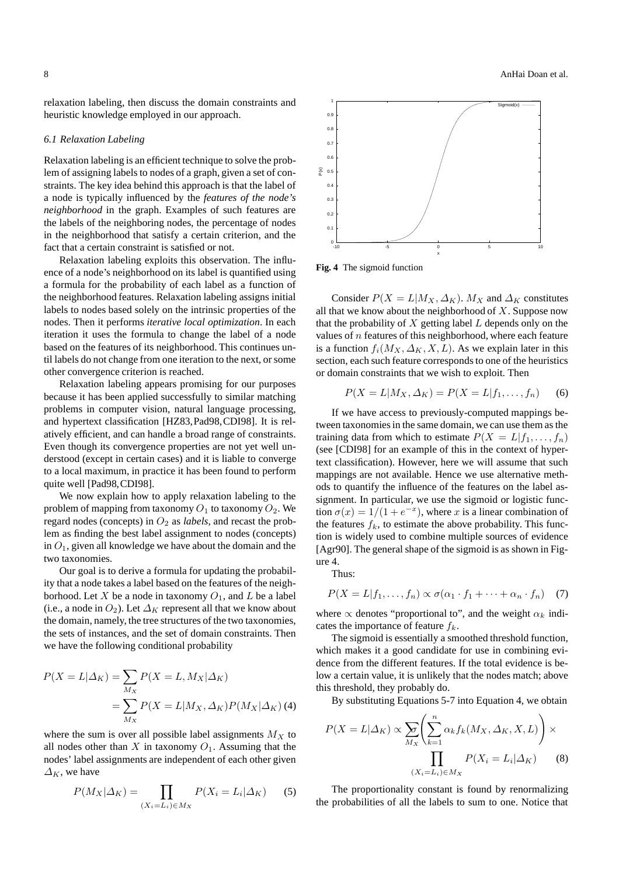relaxation labeling, then discuss the domain constraints and heuristic knowledge employed in our approach.

#### *6.1 Relaxation Labeling*

Relaxation labeling is an efficient technique to solve the problem of assigning labels to nodes of a graph, given a set of constraints. The key idea behind this approach is that the label of a node is typically influenced by the *features of the node's neighborhood* in the graph. Examples of such features are the labels of the neighboring nodes, the percentage of nodes in the neighborhood that satisfy a certain criterion, and the fact that a certain constraint is satisfied or not.

Relaxation labeling exploits this observation. The influence of a node's neighborhood on its label is quantified using a formula for the probability of each label as a function of the neighborhood features. Relaxation labeling assigns initial labels to nodes based solely on the intrinsic properties of the nodes. Then it performs *iterative local optimization*. In each iteration it uses the formula to change the label of a node based on the features of its neighborhood. This continues until labels do not change from one iteration to the next, or some other convergence criterion is reached.

Relaxation labeling appears promising for our purposes because it has been applied successfully to similar matching problems in computer vision, natural language processing, and hypertext classification [HZ83,Pad98,CDI98]. It is relatively efficient, and can handle a broad range of constraints. Even though its convergence properties are not yet well understood (except in certain cases) and it is liable to converge to a local maximum, in practice it has been found to perform quite well [Pad98,CDI98].

We now explain how to apply relaxation labeling to the problem of mapping from taxonomy  $O_1$  to taxonomy  $O_2$ . We regard nodes (concepts) in  $O_2$  as *labels*, and recast the problem as finding the best label assignment to nodes (concepts) in  $O<sub>1</sub>$ , given all knowledge we have about the domain and the two taxonomies.

Our goal is to derive a formula for updating the probability that a node takes a label based on the features of the neighborhood. Let X be a node in taxonomy  $O_1$ , and L be a label (i.e., a node in  $O_2$ ). Let  $\Delta_K$  represent all that we know about the domain, namely, the tree structures of the two taxonomies, the sets of instances, and the set of domain constraints. Then we have the following conditional probability

$$
P(X = L | \Delta_K) = \sum_{M_X} P(X = L, M_X | \Delta_K)
$$

$$
= \sum_{M_X} P(X = L | M_X, \Delta_K) P(M_X | \Delta_K) \tag{4}
$$

where the sum is over all possible label assignments  $M_X$  to all nodes other than X in taxonomy  $O_1$ . Assuming that the nodes' label assignments are independent of each other given  $\Delta_K$ , we have

$$
P(M_X|\Delta_K) = \prod_{(X_i = L_i) \in M_X} P(X_i = L_i|\Delta_K) \tag{5}
$$



**Fig. 4** The sigmoid function

Consider  $P(X = L|M_X, \Delta_K)$ .  $M_X$  and  $\Delta_K$  constitutes all that we know about the neighborhood of  $X$ . Suppose now that the probability of  $X$  getting label  $L$  depends only on the values of  $n$  features of this neighborhood, where each feature is a function  $f_i(M_X, \Delta_K, X, L)$ . As we explain later in this section, each such feature corresponds to one of the heuristics or domain constraints that we wish to exploit. Then

$$
P(X = L|M_X, \Delta_K) = P(X = L|f_1, \dots, f_n)
$$
 (6)

If we have access to previously-computed mappings between taxonomies in the same domain, we can use them as the training data from which to estimate  $P(X = L | f_1, \ldots, f_n)$ (see [CDI98] for an example of this in the context of hypertext classification). However, here we will assume that such mappings are not available. Hence we use alternative methods to quantify the influence of the features on the label assignment. In particular, we use the sigmoid or logistic function  $\sigma(x) = 1/(1 + e^{-x})$ , where x is a linear combination of the features  $f_k$ , to estimate the above probability. This function is widely used to combine multiple sources of evidence [Agr90]. The general shape of the sigmoid is as shown in Figure 4.

Thus:

$$
P(X = L | f_1, \dots, f_n) \propto \sigma(\alpha_1 \cdot f_1 + \dots + \alpha_n \cdot f_n) \quad (7)
$$

where  $\propto$  denotes "proportional to", and the weight  $\alpha_k$  indicates the importance of feature  $f_k$ .

The sigmoid is essentially a smoothed threshold function, which makes it a good candidate for use in combining evidence from the different features. If the total evidence is below a certain value, it is unlikely that the nodes match; above this threshold, they probably do.

By substituting Equations 5-7 into Equation 4, we obtain

$$
P(X = L | \Delta_K) \propto \sum_{M_X} \left( \sum_{k=1}^n \alpha_k f_k(M_X, \Delta_K, X, L) \right) \times \prod_{(X_i = L_i) \in M_X} P(X_i = L_i | \Delta_K)
$$
(8)

The proportionality constant is found by renormalizing the probabilities of all the labels to sum to one. Notice that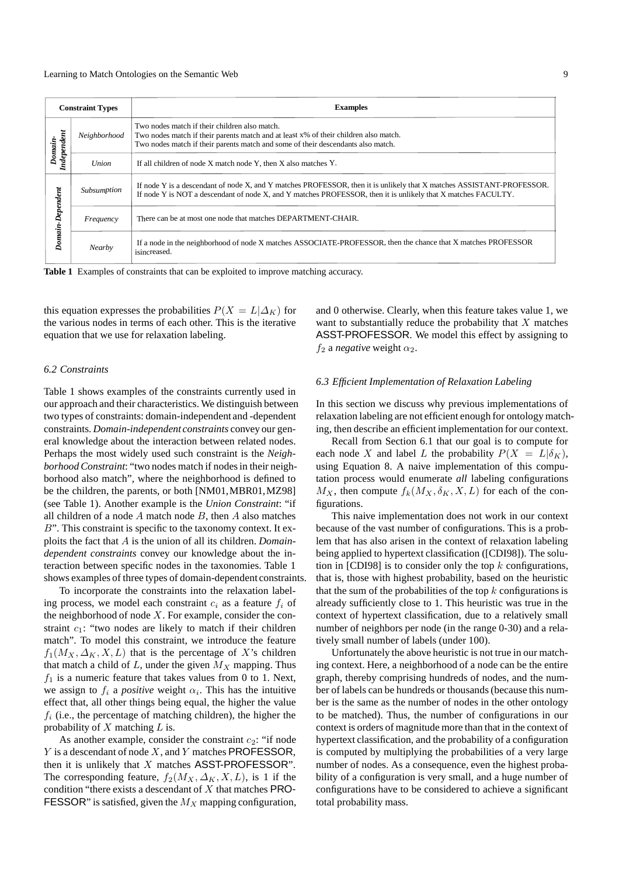| <b>Constraint Types</b> |              | <b>Examples</b>                                                                                                                                                                                                                        |  |  |  |  |  |  |
|-------------------------|--------------|----------------------------------------------------------------------------------------------------------------------------------------------------------------------------------------------------------------------------------------|--|--|--|--|--|--|
| Independent<br>Domain-  | Neighborhood | Two nodes match if their children also match.<br>Two nodes match if their parents match and at least x% of their children also match.<br>Two nodes match if their parents match and some of their descendants also match.              |  |  |  |  |  |  |
|                         | Union        | If all children of node $X$ match node $Y$ , then $X$ also matches $Y$ .                                                                                                                                                               |  |  |  |  |  |  |
| Domain-Dependent        | Subsumption  | If node Y is a descendant of node X, and Y matches PROFESSOR, then it is unlikely that X matches ASSISTANT-PROFESSOR.<br>If node Y is NOT a descendant of node X, and Y matches PROFESSOR, then it is unlikely that X matches FACULTY. |  |  |  |  |  |  |
|                         | Frequency    | There can be at most one node that matches DEPARTMENT-CHAIR.                                                                                                                                                                           |  |  |  |  |  |  |
|                         | Nearby       | If a node in the neighborhood of node X matches ASSOCIATE-PROFESSOR, then the chance that X matches PROFESSOR<br>isincreased.                                                                                                          |  |  |  |  |  |  |

**Table 1** Examples of constraints that can be exploited to improve matching accuracy.

this equation expresses the probabilities  $P(X = L|\Delta_K)$  for the various nodes in terms of each other. This is the iterative equation that we use for relaxation labeling.

# *6.2 Constraints*

Table 1 shows examples of the constraints currently used in our approach and their characteristics. We distinguish between two types of constraints: domain-independent and -dependent constraints. *Domain-independent constraints* convey our general knowledge about the interaction between related nodes. Perhaps the most widely used such constraint is the *Neighborhood Constraint*: "two nodes match if nodes in their neighborhood also match", where the neighborhood is defined to be the children, the parents, or both [NM01,MBR01,MZ98] (see Table 1). Another example is the *Union Constraint*: "if all children of a node  $A$  match node  $B$ , then  $A$  also matches  $B$ ". This constraint is specific to the taxonomy context. It exploits the fact that A is the union of all its children. *Domaindependent constraints* convey our knowledge about the interaction between specific nodes in the taxonomies. Table 1 shows examples of three types of domain-dependent constraints.

To incorporate the constraints into the relaxation labeling process, we model each constraint  $c_i$  as a feature  $f_i$  of the neighborhood of node  $X$ . For example, consider the constraint  $c_1$ : "two nodes are likely to match if their children match". To model this constraint, we introduce the feature  $f_1(M_X, \Delta_K, X, L)$  that is the percentage of X's children that match a child of  $L$ , under the given  $M_X$  mapping. Thus  $f_1$  is a numeric feature that takes values from 0 to 1. Next, we assign to  $f_i$  a *positive* weight  $\alpha_i$ . This has the intuitive effect that, all other things being equal, the higher the value  $f_i$  (i.e., the percentage of matching children), the higher the probability of  $X$  matching  $L$  is.

As another example, consider the constraint  $c_2$ : "if node  $Y$  is a descendant of node  $X$ , and  $Y$  matches PROFESSOR, then it is unlikely that  $X$  matches ASST-PROFESSOR". The corresponding feature,  $f_2(M_X, \Delta_K, X, L)$ , is 1 if the condition "there exists a descendant of  $X$  that matches PRO-FESSOR" is satisfied, given the  $M_X$  mapping configuration, and 0 otherwise. Clearly, when this feature takes value 1, we want to substantially reduce the probability that  $X$  matches ASST-PROFESSOR. We model this effect by assigning to  $f_2$  a *negative* weight  $\alpha_2$ .

# *6.3 Efficient Implementation of Relaxation Labeling*

In this section we discuss why previous implementations of relaxation labeling are not efficient enough for ontology matching, then describe an efficient implementation for our context.

Recall from Section 6.1 that our goal is to compute for each node X and label L the probability  $P(X = L | \delta_K)$ , using Equation 8. A naive implementation of this computation process would enumerate *all* labeling configurations  $M_X$ , then compute  $f_k(M_X, \delta_K, X, L)$  for each of the configurations.

This naive implementation does not work in our context because of the vast number of configurations. This is a problem that has also arisen in the context of relaxation labeling being applied to hypertext classification ([CDI98]). The solution in  $[CDI98]$  is to consider only the top k configurations, that is, those with highest probability, based on the heuristic that the sum of the probabilities of the top  $k$  configurations is already sufficiently close to 1. This heuristic was true in the context of hypertext classification, due to a relatively small number of neighbors per node (in the range 0-30) and a relatively small number of labels (under 100).

Unfortunately the above heuristic is not true in our matching context. Here, a neighborhood of a node can be the entire graph, thereby comprising hundreds of nodes, and the number of labels can be hundreds or thousands(because this number is the same as the number of nodes in the other ontology to be matched). Thus, the number of configurations in our context is orders of magnitude more than that in the context of hypertext classification, and the probability of a configuration is computed by multiplying the probabilities of a very large number of nodes. As a consequence, even the highest probability of a configuration is very small, and a huge number of configurations have to be considered to achieve a significant total probability mass.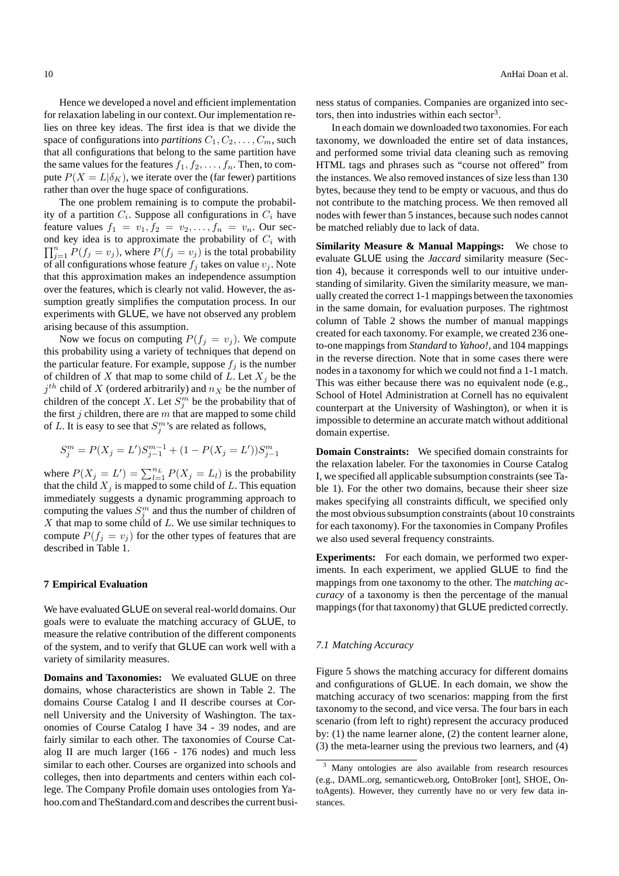Hence we developed a novel and efficient implementation for relaxation labeling in our context. Our implementation relies on three key ideas. The first idea is that we divide the space of configurations into *partitions*  $C_1, C_2, \ldots, C_m$ , such that all configurations that belong to the same partition have the same values for the features  $f_1, f_2, \ldots, f_n$ . Then, to compute  $P(X = L | \delta_K)$ , we iterate over the (far fewer) partitions rather than over the huge space of configurations.

The one problem remaining is to compute the probability of a partition  $C_i$ . Suppose all configurations in  $C_i$  have feature values  $f_1 = v_1, f_2 = v_2, \ldots, f_n = v_n$ . Our sec- $\prod_{j=1}^{n} P(f_j = v_j)$ , where  $P(f_j = v_j)$  is the total probability ond key idea is to approximate the probability of  $C_i$  with of all configurations whose feature  $f_i$  takes on value  $v_i$ . Note that this approximation makes an independence assumption over the features, which is clearly not valid. However, the assumption greatly simplifies the computation process. In our experiments with GLUE, we have not observed any problem arising because of this assumption.

Now we focus on computing  $P(f_j = v_j)$ . We compute this probability using a variety of techniques that depend on the particular feature. For example, suppose  $f_i$  is the number of children of X that map to some child of L. Let  $X_i$  be the  $j<sup>th</sup>$  child of X (ordered arbitrarily) and  $n<sub>X</sub>$  be the number of children of the concept X. Let  $S_j^m$  be the probability that of the first  $j$  children, there are  $m$  that are mapped to some child of L. It is easy to see that  $S_j^m$ 's are related as follows,

$$
S_j^m = P(X_j = L')S_{j-1}^{m-1} + (1 - P(X_j = L'))S_{j-1}^m
$$

where  $P(X_j = L') = \sum_{l=1}^{n_L} P(X_j = L_l)$  is the probability that the child  $X_j$  is mapped to some child of L. This equation immediately suggests a dynamic programming approach to computing the values  $S_j^m$  and thus the number of children of  $X$  that map to some child of  $L$ . We use similar techniques to compute  $P(f_i = v_i)$  for the other types of features that are described in Table 1.

# **7 Empirical Evaluation**

We have evaluated GLUE on several real-world domains. Our goals were to evaluate the matching accuracy of GLUE, to measure the relative contribution of the different components of the system, and to verify that GLUE can work well with a variety of similarity measures.

**Domains and Taxonomies:** We evaluated GLUE on three domains, whose characteristics are shown in Table 2. The domains Course Catalog I and II describe courses at Cornell University and the University of Washington. The taxonomies of Course Catalog I have 34 - 39 nodes, and are fairly similar to each other. The taxonomies of Course Catalog II are much larger (166 - 176 nodes) and much less similar to each other. Courses are organized into schools and colleges, then into departments and centers within each college. The Company Profile domain uses ontologies from Yahoo.com and TheStandard.com and describes the current business status of companies. Companies are organized into sectors, then into industries within each sector<sup>3</sup>.

In each domain we downloaded two taxonomies. For each taxonomy, we downloaded the entire set of data instances, and performed some trivial data cleaning such as removing HTML tags and phrases such as "course not offered" from the instances. We also removed instances of size less than 130 bytes, because they tend to be empty or vacuous, and thus do not contribute to the matching process. We then removed all nodes with fewer than 5 instances, because such nodes cannot be matched reliably due to lack of data.

**Similarity Measure & Manual Mappings:** We chose to evaluate GLUE using the *Jaccard* similarity measure (Section 4), because it corresponds well to our intuitive understanding of similarity. Given the similarity measure, we manually created the correct 1-1 mappings between the taxonomies in the same domain, for evaluation purposes. The rightmost column of Table 2 shows the number of manual mappings created for each taxonomy. For example, we created 236 oneto-one mappingsfrom *Standard* to *Yahoo!*, and 104 mappings in the reverse direction. Note that in some cases there were nodes in a taxonomy for which we could not find a 1-1 match. This was either because there was no equivalent node (e.g., School of Hotel Administration at Cornell has no equivalent counterpart at the University of Washington), or when it is impossible to determine an accurate match without additional domain expertise.

**Domain Constraints:** We specified domain constraints for the relaxation labeler. For the taxonomies in Course Catalog I, we specified all applicable subsumption constraints(see Table 1). For the other two domains, because their sheer size makes specifying all constraints difficult, we specified only the most obvious subsumption constraints (about 10 constraints) for each taxonomy). For the taxonomies in Company Profiles we also used several frequency constraints.

**Experiments:** For each domain, we performed two experiments. In each experiment, we applied GLUE to find the mappings from one taxonomy to the other. The *matching accuracy* of a taxonomy is then the percentage of the manual mappings(for that taxonomy) that GLUE predicted correctly.

#### *7.1 Matching Accuracy*

Figure 5 shows the matching accuracy for different domains and configurations of GLUE. In each domain, we show the matching accuracy of two scenarios: mapping from the first taxonomy to the second, and vice versa. The four bars in each scenario (from left to right) represent the accuracy produced by: (1) the name learner alone, (2) the content learner alone, (3) the meta-learner using the previous two learners, and (4)

<sup>3</sup> Many ontologies are also available from research resources (e.g., DAML.org, semanticweb.org, OntoBroker [ont], SHOE, OntoAgents). However, they currently have no or very few data instances.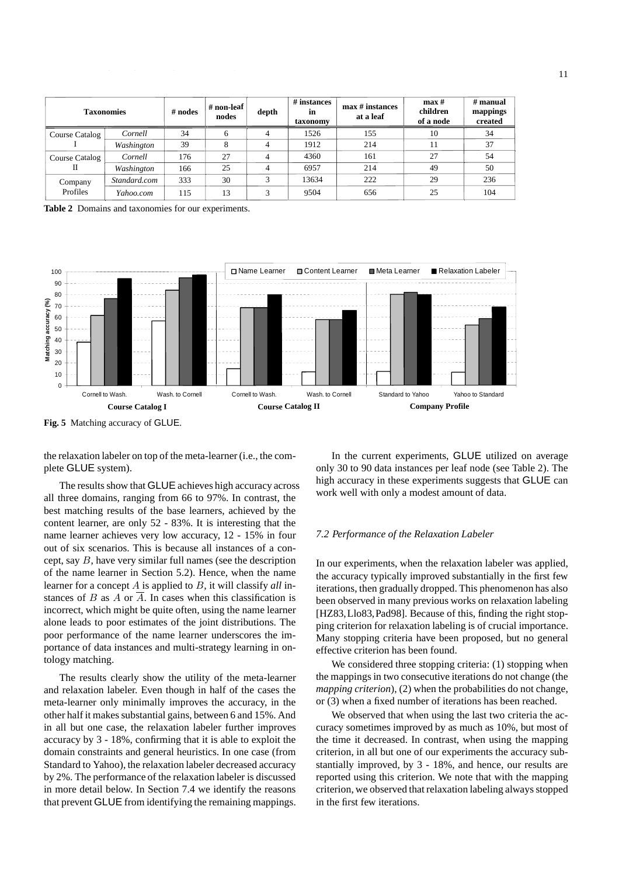|                | <b>Taxonomies</b> | # nodes | # non-leaf<br>nodes | depth | # instances<br>$\max \#$ instances<br>in<br>at a leaf<br>taxonomy |     | $\max$ #<br>children<br>of a node | $#$ manual<br>mappings<br>created |
|----------------|-------------------|---------|---------------------|-------|-------------------------------------------------------------------|-----|-----------------------------------|-----------------------------------|
| Course Catalog | Cornell           | 34      |                     |       | 1526                                                              | 155 | 10                                | 34                                |
|                | Washington        | 39      |                     |       | 1912                                                              | 214 | 11                                | 37                                |
| Course Catalog | Cornell           | 176     | 27                  | 4     | 4360                                                              | 161 | 27                                | 54                                |
|                | Washington        | 166     | 25                  | 4     | 6957                                                              | 214 | 49                                | 50                                |
| Company        | Standard.com      | 333     | 30                  |       | 13634                                                             | 222 | 29                                | 236                               |
| Profiles       | Yahoo.com         | 115     | 13                  | ◠     | 9504                                                              | 656 | 25                                | 104                               |

**Table 2** Domains and taxonomies for our experiments.



**Fig. 5** Matching accuracy of GLUE.

the relaxation labeler on top of the meta-learner (i.e., the complete GLUE system).

The results show that GLUE achieves high accuracy across all three domains, ranging from 66 to 97%. In contrast, the best matching results of the base learners, achieved by the content learner, are only 52 - 83%. It is interesting that the name learner achieves very low accuracy, 12 - 15% in four out of six scenarios. This is because all instances of a concept, say B, have very similar full names (see the description of the name learner in Section 5.2). Hence, when the name learner for a concept A is applied to B, it will classify *all* instances of B as A or  $\overline{A}$ . In cases when this classification is incorrect, which might be quite often, using the name learner alone leads to poor estimates of the joint distributions. The poor performance of the name learner underscores the importance of data instances and multi-strategy learning in ontology matching.

The results clearly show the utility of the meta-learner and relaxation labeler. Even though in half of the cases the meta-learner only minimally improves the accuracy, in the other half it makes substantial gains, between 6 and 15%. And in all but one case, the relaxation labeler further improves accuracy by 3 - 18%, confirming that it is able to exploit the domain constraints and general heuristics. In one case (from Standard to Yahoo), the relaxation labeler decreased accuracy by 2%. The performance of the relaxation labeler is discussed in more detail below. In Section 7.4 we identify the reasons that prevent GLUE from identifying the remaining mappings.

In the current experiments, GLUE utilized on average only 30 to 90 data instances per leaf node (see Table 2). The high accuracy in these experiments suggests that GLUE can work well with only a modest amount of data.

## *7.2 Performance of the Relaxation Labeler*

In our experiments, when the relaxation labeler was applied, the accuracy typically improved substantially in the first few iterations, then gradually dropped. This phenomenon has also been observed in many previous works on relaxation labeling [HZ83,Llo83,Pad98]. Because of this, finding the right stopping criterion for relaxation labeling is of crucial importance. Many stopping criteria have been proposed, but no general effective criterion has been found.

We considered three stopping criteria: (1) stopping when the mappings in two consecutive iterations do not change (the *mapping criterion*), (2) when the probabilities do not change, or (3) when a fixed number of iterations has been reached.

We observed that when using the last two criteria the accuracy sometimes improved by as much as 10%, but most of the time it decreased. In contrast, when using the mapping criterion, in all but one of our experiments the accuracy substantially improved, by 3 - 18%, and hence, our results are reported using this criterion. We note that with the mapping criterion, we observed that relaxation labeling always stopped in the first few iterations.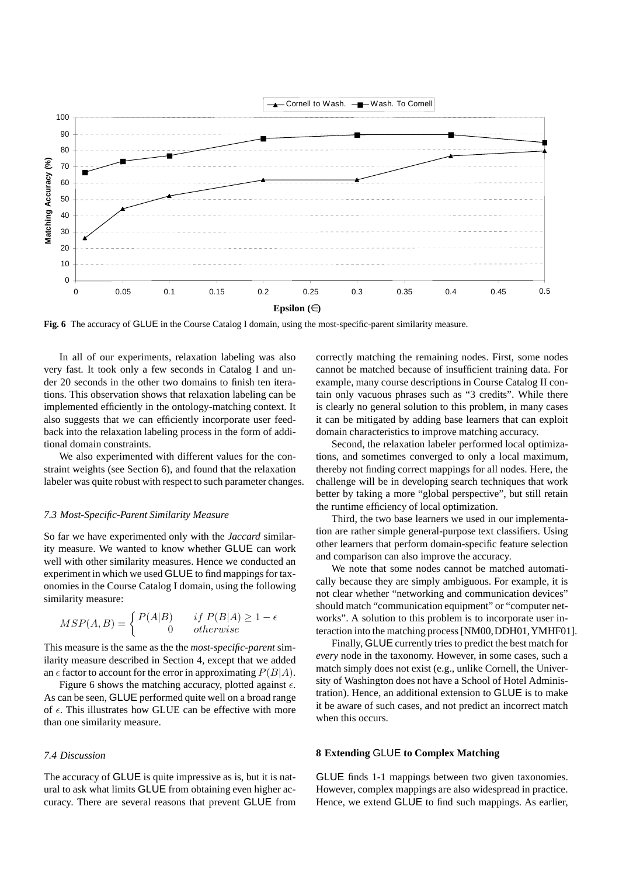

**Fig. 6** The accuracy of GLUE in the Course Catalog I domain, using the most-specific-parent similarity measure.

In all of our experiments, relaxation labeling was also very fast. It took only a few seconds in Catalog I and under 20 seconds in the other two domains to finish ten iterations. This observation shows that relaxation labeling can be implemented efficiently in the ontology-matching context. It also suggests that we can efficiently incorporate user feedback into the relaxation labeling process in the form of additional domain constraints.

We also experimented with different values for the constraint weights (see Section 6), and found that the relaxation labeler was quite robust with respect to such parameter changes.

#### *7.3 Most-Specific-Parent Similarity Measure*

So far we have experimented only with the *Jaccard* similarity measure. We wanted to know whether GLUE can work well with other similarity measures. Hence we conducted an experiment in which we used GLUE to find mappings for taxonomies in the Course Catalog I domain, using the following similarity measure:

$$
MSP(A, B) = \begin{cases} P(A|B) & \text{if } P(B|A) \ge 1 - \epsilon \\ 0 & \text{otherwise} \end{cases}
$$

This measure is the same as the the *most-specific-parent* similarity measure described in Section 4, except that we added an  $\epsilon$  factor to account for the error in approximating  $P(B|A)$ .

Figure 6 shows the matching accuracy, plotted against  $\epsilon$ . As can be seen, GLUE performed quite well on a broad range of  $\epsilon$ . This illustrates how GLUE can be effective with more than one similarity measure.

# *7.4 Discussion*

The accuracy of GLUE is quite impressive as is, but it is natural to ask what limits GLUE from obtaining even higher accuracy. There are several reasons that prevent GLUE from correctly matching the remaining nodes. First, some nodes cannot be matched because of insufficient training data. For example, many course descriptions in Course Catalog II contain only vacuous phrases such as "3 credits". While there is clearly no general solution to this problem, in many cases it can be mitigated by adding base learners that can exploit domain characteristics to improve matching accuracy.

Second, the relaxation labeler performed local optimizations, and sometimes converged to only a local maximum, thereby not finding correct mappings for all nodes. Here, the challenge will be in developing search techniques that work better by taking a more "global perspective", but still retain the runtime efficiency of local optimization.

Third, the two base learners we used in our implementation are rather simple general-purpose text classifiers. Using other learners that perform domain-specific feature selection and comparison can also improve the accuracy.

We note that some nodes cannot be matched automatically because they are simply ambiguous. For example, it is not clear whether "networking and communication devices" should match "communication equipment" or "computer networks". A solution to this problem is to incorporate user interaction into the matching process[NM00,DDH01,YMHF01].

Finally, GLUE currently tries to predict the best match for *every* node in the taxonomy. However, in some cases, such a match simply does not exist (e.g., unlike Cornell, the University of Washington does not have a School of Hotel Administration). Hence, an additional extension to GLUE is to make it be aware of such cases, and not predict an incorrect match when this occurs.

#### **8 Extending** GLUE **to Complex Matching**

GLUE finds 1-1 mappings between two given taxonomies. However, complex mappings are also widespread in practice. Hence, we extend GLUE to find such mappings. As earlier,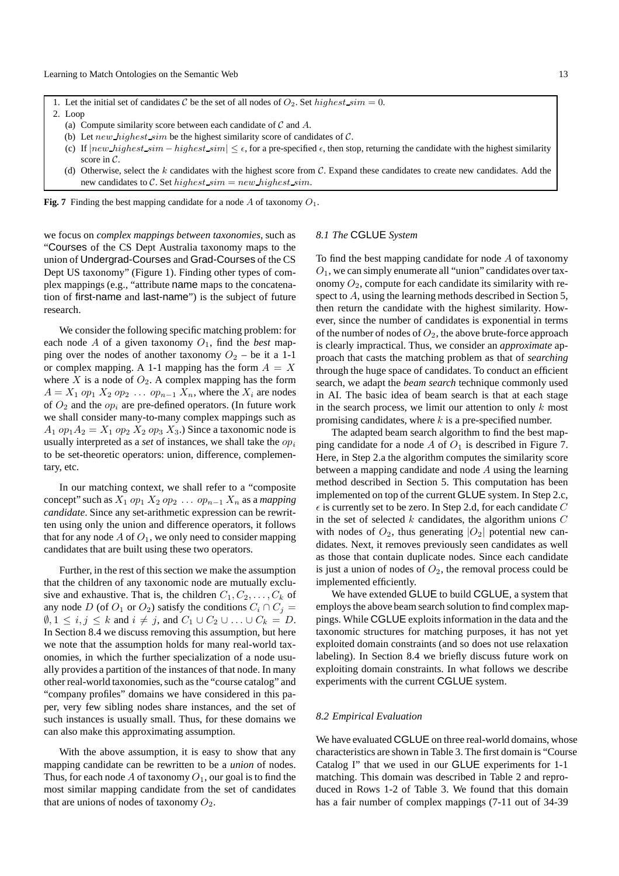| 1. Let the initial set of candidates C be the set of all nodes of $Q_2$ . Set <i>highest_sim</i> = 0. |
|-------------------------------------------------------------------------------------------------------|
| $2.$ Loop                                                                                             |
| (a) Compute similarity score between each candidate of $\mathcal C$ and $A$ .                         |

- (b) Let  $new\_highest\_sim$  be the highest similarity score of candidates of  $C$ .
- (c) If  $|new\_highest\_sim highest\_sim| \le \epsilon$ , for a pre-specified  $\epsilon$ , then stop, returning the candidate with the highest similarity score in  $\mathcal{C}$ .
- (d) Otherwise, select the k candidates with the highest score from  $C$ . Expand these candidates to create new candidates. Add the new candidates to C. Set highest  $sim = new\text{ highest} \text{ sim}$ .

**Fig.** 7 Finding the best mapping candidate for a node  $A$  of taxonomy  $O_1$ .

we focus on *complex mappings between taxonomies*, such as "Courses of the CS Dept Australia taxonomy maps to the union of Undergrad-Courses and Grad-Courses of the CS Dept US taxonomy" (Figure 1). Finding other types of complex mappings (e.g., "attribute name maps to the concatenation of first-name and last-name") is the subject of future research.

We consider the following specific matching problem: for each node A of a given taxonomy  $O_1$ , find the *best* mapping over the nodes of another taxonomy  $O_2$  – be it a 1-1 or complex mapping. A 1-1 mapping has the form  $A = X$ where  $X$  is a node of  $O_2$ . A complex mapping has the form  $A = X_1$  op<sub>1</sub>  $X_2$  op<sub>2</sub> ... op<sub>n−1</sub>  $X_n$ , where the  $X_i$  are nodes of  $O_2$  and the  $op_i$  are pre-defined operators. (In future work we shall consider many-to-many complex mappings such as  $A_1$  op<sub>1</sub> $A_2 = X_1$  op<sub>2</sub>  $X_2$  op<sub>3</sub>  $X_3$ .) Since a taxonomic node is usually interpreted as a *set* of instances, we shall take the  $op<sub>i</sub>$ to be set-theoretic operators: union, difference, complementary, etc.

In our matching context, we shall refer to a "composite concept" such as  $X_1$  op<sub>1</sub>  $X_2$  op<sub>2</sub> ... op<sub>n−1</sub>  $X_n$  as a *mapping candidate*. Since any set-arithmetic expression can be rewritten using only the union and difference operators, it follows that for any node  $A$  of  $O_1$ , we only need to consider mapping candidates that are built using these two operators.

Further, in the rest of this section we make the assumption that the children of any taxonomic node are mutually exclusive and exhaustive. That is, the children  $C_1, C_2, \ldots, C_k$  of any node D (of  $O_1$  or  $O_2$ ) satisfy the conditions  $C_i \cap C_j =$  $\emptyset$ ,  $1 \leq i, j \leq k$  and  $i \neq j$ , and  $C_1 \cup C_2 \cup \ldots \cup C_k = D$ . In Section 8.4 we discuss removing this assumption, but here we note that the assumption holds for many real-world taxonomies, in which the further specialization of a node usually provides a partition of the instances of that node. In many other real-world taxonomies, such as the "course catalog" and "company profiles" domains we have considered in this paper, very few sibling nodes share instances, and the set of such instances is usually small. Thus, for these domains we can also make this approximating assumption.

With the above assumption, it is easy to show that any mapping candidate can be rewritten to be a *union* of nodes. Thus, for each node A of taxonomy  $O_1$ , our goal is to find the most similar mapping candidate from the set of candidates that are unions of nodes of taxonomy  $O_2$ .

# *8.1 The* CGLUE *System*

To find the best mapping candidate for node  $A$  of taxonomy  $O_1$ , we can simply enumerate all "union" candidates over taxonomy  $O_2$ , compute for each candidate its similarity with respect to A, using the learning methods described in Section 5, then return the candidate with the highest similarity. However, since the number of candidates is exponential in terms of the number of nodes of  $O_2$ , the above brute-force approach is clearly impractical. Thus, we consider an *approximate* approach that casts the matching problem as that of *searching* through the huge space of candidates. To conduct an efficient search, we adapt the *beam search* technique commonly used in AI. The basic idea of beam search is that at each stage in the search process, we limit our attention to only  $k$  most promising candidates, where  $k$  is a pre-specified number.

The adapted beam search algorithm to find the best mapping candidate for a node  $A$  of  $O_1$  is described in Figure 7. Here, in Step 2.a the algorithm computes the similarity score between a mapping candidate and node A using the learning method described in Section 5. This computation has been implemented on top of the current GLUE system. In Step 2.c,  $\epsilon$  is currently set to be zero. In Step 2.d, for each candidate C in the set of selected  $k$  candidates, the algorithm unions  $C$ with nodes of  $O_2$ , thus generating  $|O_2|$  potential new candidates. Next, it removes previously seen candidates as well as those that contain duplicate nodes. Since each candidate is just a union of nodes of  $O_2$ , the removal process could be implemented efficiently.

We have extended GLUE to build CGLUE, a system that employs the above beam search solution to find complex mappings. While CGLUE exploits information in the data and the taxonomic structures for matching purposes, it has not yet exploited domain constraints (and so does not use relaxation labeling). In Section 8.4 we briefly discuss future work on exploiting domain constraints. In what follows we describe experiments with the current CGLUE system.

#### *8.2 Empirical Evaluation*

We have evaluated CGLUE on three real-world domains, whose characteristics are shown in Table 3. The first domain is "Course Catalog I" that we used in our GLUE experiments for 1-1 matching. This domain was described in Table 2 and reproduced in Rows 1-2 of Table 3. We found that this domain has a fair number of complex mappings (7-11 out of 34-39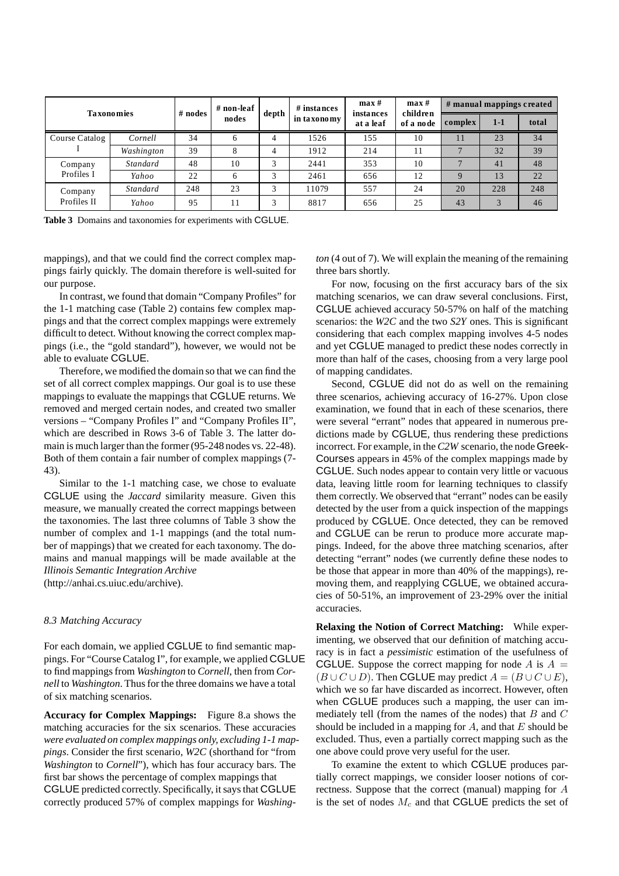| <b>Taxonomies</b> |            | $#$ nodes | # non-leaf<br>nodes | depth             | $#$ instances<br>in taxonomy | $\max$ #<br>instances<br>at a leaf | $\max#$<br>children<br>of a node | # manual mappings created |       |       |
|-------------------|------------|-----------|---------------------|-------------------|------------------------------|------------------------------------|----------------------------------|---------------------------|-------|-------|
|                   |            |           |                     |                   |                              |                                    |                                  | complex                   | $1-1$ | total |
| Course Catalog    | Cornell    | 34        |                     | 4                 | 1526                         | 155                                | 10                               | ш                         | 23    | 34    |
|                   | Washington | 39        | 8                   | 4                 | 1912                         | 214                                | 11                               |                           | 32    | 39    |
| Company           | Standard   | 48        | 10                  | 3                 | 2441                         | 353                                | 10                               |                           | 41    | 48    |
| Profiles I        | Yahoo      | 22        | 6                   | 3                 | 2461                         | 656                                | 12                               | Q                         | 13    | 22    |
| Company           | Standard   | 248       | 23                  | $\mathbf{\Omega}$ | 11079                        | 557                                | 24                               | 20                        | 228   | 248   |
| Profiles II       | Yahoo      | 95        |                     | $\mathbf{\Omega}$ | 8817                         | 656                                | 25                               | 43                        | 3     | 46    |

**Table 3** Domains and taxonomies for experiments with CGLUE.

mappings), and that we could find the correct complex mappings fairly quickly. The domain therefore is well-suited for our purpose.

In contrast, we found that domain "Company Profiles" for the 1-1 matching case (Table 2) contains few complex mappings and that the correct complex mappings were extremely difficult to detect. Without knowing the correct complex mappings (i.e., the "gold standard"), however, we would not be able to evaluate CGLUE.

Therefore, we modified the domain so that we can find the set of all correct complex mappings. Our goal is to use these mappings to evaluate the mappings that CGLUE returns. We removed and merged certain nodes, and created two smaller versions – "Company Profiles I" and "Company Profiles II", which are described in Rows 3-6 of Table 3. The latter domain is much larger than the former (95-248 nodes vs. 22-48). Both of them contain a fair number of complex mappings (7- 43).

Similar to the 1-1 matching case, we chose to evaluate CGLUE using the *Jaccard* similarity measure. Given this measure, we manually created the correct mappings between the taxonomies. The last three columns of Table 3 show the number of complex and 1-1 mappings (and the total number of mappings) that we created for each taxonomy. The domains and manual mappings will be made available at the *Illinois Semantic Integration Archive*

(http://anhai.cs.uiuc.edu/archive).

# *8.3 Matching Accuracy*

For each domain, we applied CGLUE to find semantic mappings. For "Course Catalog I", for example, we applied CGLUE to find mappingsfrom *Washington* to *Cornell*, then from *Cornell* to *Washington*. Thus for the three domains we have a total of six matching scenarios.

**Accuracy for Complex Mappings:** Figure 8.a shows the matching accuracies for the six scenarios. These accuracies *were evaluated on complex mappings only, excluding 1-1 mappings*. Consider the first scenario, *W2C* (shorthand for "from *Washington* to *Cornell*"), which has four accuracy bars. The first bar shows the percentage of complex mappings that CGLUE predicted correctly. Specifically, it saysthat CGLUE correctly produced 57% of complex mappings for *Washing-* *ton* (4 out of 7). We will explain the meaning of the remaining three bars shortly.

For now, focusing on the first accuracy bars of the six matching scenarios, we can draw several conclusions. First, CGLUE achieved accuracy 50-57% on half of the matching scenarios: the *W2C* and the two *S2Y* ones. This is significant considering that each complex mapping involves 4-5 nodes and yet CGLUE managed to predict these nodes correctly in more than half of the cases, choosing from a very large pool of mapping candidates.

Second, CGLUE did not do as well on the remaining three scenarios, achieving accuracy of 16-27%. Upon close examination, we found that in each of these scenarios, there were several "errant" nodes that appeared in numerous predictions made by CGLUE, thus rendering these predictions incorrect. For example, in the *C2W* scenario, the node Greek-Courses appears in 45% of the complex mappings made by CGLUE. Such nodes appear to contain very little or vacuous data, leaving little room for learning techniques to classify them correctly. We observed that "errant" nodes can be easily detected by the user from a quick inspection of the mappings produced by CGLUE. Once detected, they can be removed and CGLUE can be rerun to produce more accurate mappings. Indeed, for the above three matching scenarios, after detecting "errant" nodes (we currently define these nodes to be those that appear in more than 40% of the mappings), removing them, and reapplying CGLUE, we obtained accuracies of 50-51%, an improvement of 23-29% over the initial accuracies.

**Relaxing the Notion of Correct Matching:** While experimenting, we observed that our definition of matching accuracy is in fact a *pessimistic* estimation of the usefulness of CGLUE. Suppose the correct mapping for node  $A$  is  $A =$  $(B \cup C \cup D)$ . Then CGLUE may predict  $A = (B \cup C \cup E)$ , which we so far have discarded as incorrect. However, often when CGLUE produces such a mapping, the user can immediately tell (from the names of the nodes) that  $B$  and  $C$ should be included in a mapping for  $A$ , and that  $E$  should be excluded. Thus, even a partially correct mapping such as the one above could prove very useful for the user.

To examine the extent to which CGLUE produces partially correct mappings, we consider looser notions of correctness. Suppose that the correct (manual) mapping for A is the set of nodes  $M_c$  and that CGLUE predicts the set of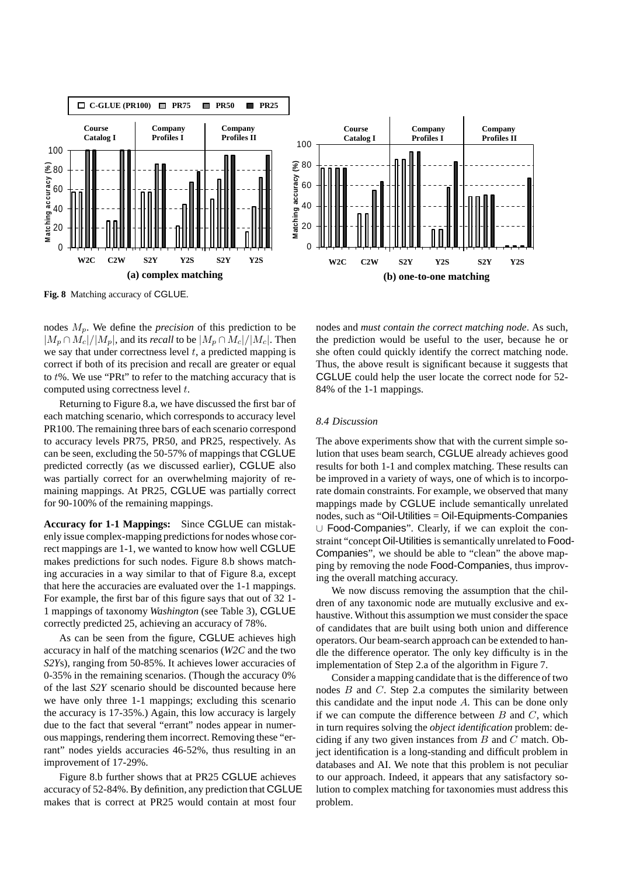

**Fig. 8** Matching accuracy of CGLUE.

nodes  $M_p$ . We define the *precision* of this prediction to be  $|M_p \cap M_c|/|M_p|$ , and its *recall* to be  $|M_p \cap M_c|/|M_c|$ . Then we say that under correctness level  $t$ , a predicted mapping is correct if both of its precision and recall are greater or equal to t%. We use "PRt" to refer to the matching accuracy that is computed using correctness level t.

Returning to Figure 8.a, we have discussed the first bar of each matching scenario, which corresponds to accuracy level PR100. The remaining three bars of each scenario correspond to accuracy levels PR75, PR50, and PR25, respectively. As can be seen, excluding the 50-57% of mappings that CGLUE predicted correctly (as we discussed earlier), CGLUE also was partially correct for an overwhelming majority of remaining mappings. At PR25, CGLUE was partially correct for 90-100% of the remaining mappings.

**Accuracy for 1-1 Mappings:** Since CGLUE can mistakenly issue complex-mapping predictions for nodes whose correct mappings are 1-1, we wanted to know how well CGLUE makes predictions for such nodes. Figure 8.b shows matching accuracies in a way similar to that of Figure 8.a, except that here the accuracies are evaluated over the 1-1 mappings. For example, the first bar of this figure says that out of 32 1- 1 mappings of taxonomy *Washington* (see Table 3), CGLUE correctly predicted 25, achieving an accuracy of 78%.

As can be seen from the figure, CGLUE achieves high accuracy in half of the matching scenarios (*W2C* and the two *S2Y*s), ranging from 50-85%. It achieves lower accuracies of 0-35% in the remaining scenarios. (Though the accuracy 0% of the last *S2Y* scenario should be discounted because here we have only three 1-1 mappings; excluding this scenario the accuracy is 17-35%.) Again, this low accuracy is largely due to the fact that several "errant" nodes appear in numerous mappings, rendering them incorrect. Removing these "errant" nodes yields accuracies 46-52%, thus resulting in an improvement of 17-29%.

Figure 8.b further shows that at PR25 CGLUE achieves accuracy of 52-84%. By definition, any prediction that CGLUE makes that is correct at PR25 would contain at most four



nodes and *must contain the correct matching node*. As such, the prediction would be useful to the user, because he or she often could quickly identify the correct matching node. Thus, the above result is significant because it suggests that CGLUE could help the user locate the correct node for 52- 84% of the 1-1 mappings.

#### *8.4 Discussion*

The above experiments show that with the current simple solution that uses beam search, CGLUE already achieves good results for both 1-1 and complex matching. These results can be improved in a variety of ways, one of which is to incorporate domain constraints. For example, we observed that many mappings made by CGLUE include semantically unrelated nodes, such as "Oil-Utilities = Oil-Equipments-Companies ∪ Food-Companies". Clearly, if we can exploit the constraint "concept Oil-Utilities is semantically unrelated to Food-Companies", we should be able to "clean" the above mapping by removing the node Food-Companies, thus improving the overall matching accuracy.

We now discuss removing the assumption that the children of any taxonomic node are mutually exclusive and exhaustive. Without this assumption we must consider the space of candidates that are built using both union and difference operators. Our beam-search approach can be extended to handle the difference operator. The only key difficulty is in the implementation of Step 2.a of the algorithm in Figure 7.

Consider a mapping candidate that is the difference of two nodes  $B$  and  $C$ . Step 2.a computes the similarity between this candidate and the input node A. This can be done only if we can compute the difference between  $B$  and  $C$ , which in turn requires solving the *object identification* problem: deciding if any two given instances from  $B$  and  $C$  match. Object identification is a long-standing and difficult problem in databases and AI. We note that this problem is not peculiar to our approach. Indeed, it appears that any satisfactory solution to complex matching for taxonomies must address this problem.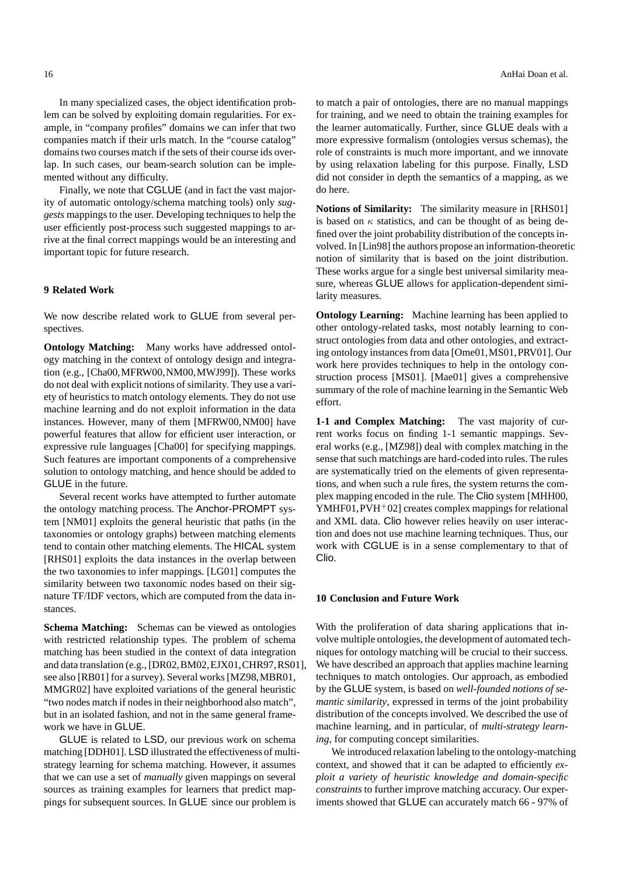In many specialized cases, the object identification problem can be solved by exploiting domain regularities. For example, in "company profiles" domains we can infer that two companies match if their urls match. In the "course catalog" domainstwo courses match if the sets of their course ids overlap. In such cases, our beam-search solution can be implemented without any difficulty.

Finally, we note that CGLUE (and in fact the vast majority of automatic ontology/schema matching tools) only *suggests* mappings to the user. Developing techniques to help the user efficiently post-process such suggested mappings to arrive at the final correct mappings would be an interesting and important topic for future research.

# **9 Related Work**

We now describe related work to GLUE from several perspectives.

**Ontology Matching:** Many works have addressed ontology matching in the context of ontology design and integration (e.g., [Cha00,MFRW00,NM00,MWJ99]). These works do not deal with explicit notions of similarity. They use a variety of heuristics to match ontology elements. They do not use machine learning and do not exploit information in the data instances. However, many of them [MFRW00,NM00] have powerful features that allow for efficient user interaction, or expressive rule languages [Cha00] for specifying mappings. Such features are important components of a comprehensive solution to ontology matching, and hence should be added to GLUE in the future.

Several recent works have attempted to further automate the ontology matching process. The Anchor-PROMPT system [NM01] exploits the general heuristic that paths (in the taxonomies or ontology graphs) between matching elements tend to contain other matching elements. The HICAL system [RHS01] exploits the data instances in the overlap between the two taxonomies to infer mappings. [LG01] computes the similarity between two taxonomic nodes based on their signature TF/IDF vectors, which are computed from the data instances.

**Schema Matching:** Schemas can be viewed as ontologies with restricted relationship types. The problem of schema matching has been studied in the context of data integration and data translation (e.g., [DR02,BM02,EJX01,CHR97,RS01], see also [RB01] for a survey). Several works [MZ98,MBR01, MMGR02] have exploited variations of the general heuristic "two nodes match if nodes in their neighborhood also match", but in an isolated fashion, and not in the same general framework we have in GLUE.

GLUE is related to LSD, our previous work on schema matching [DDH01]. LSD illustrated the effectiveness of multistrategy learning for schema matching. However, it assumes that we can use a set of *manually* given mappings on several sources as training examples for learners that predict mappings for subsequent sources. In GLUE since our problem is

to match a pair of ontologies, there are no manual mappings for training, and we need to obtain the training examples for the learner automatically. Further, since GLUE deals with a more expressive formalism (ontologies versus schemas), the role of constraints is much more important, and we innovate by using relaxation labeling for this purpose. Finally, LSD did not consider in depth the semantics of a mapping, as we do here.

**Notions of Similarity:** The similarity measure in [RHS01] is based on  $\kappa$  statistics, and can be thought of as being defined over the joint probability distribution of the concepts involved. In [Lin98] the authors propose an information-theoretic notion of similarity that is based on the joint distribution. These works argue for a single best universal similarity measure, whereas GLUE allows for application-dependent similarity measures.

**Ontology Learning:** Machine learning has been applied to other ontology-related tasks, most notably learning to construct ontologies from data and other ontologies, and extracting ontology instances from data [Ome01, MS01, PRV01]. Our work here provides techniques to help in the ontology construction process [MS01]. [Mae01] gives a comprehensive summary of the role of machine learning in the Semantic Web effort.

**1-1 and Complex Matching:** The vast majority of current works focus on finding 1-1 semantic mappings. Several works (e.g., [MZ98]) deal with complex matching in the sense that such matchings are hard-coded into rules. The rules are systematically tried on the elements of given representations, and when such a rule fires, the system returns the complex mapping encoded in the rule. The Clio system [MHH00,  $YMHF01.PVH<sup>+</sup>021$  creates complex mappings for relational and XML data. Clio however relies heavily on user interaction and does not use machine learning techniques. Thus, our work with CGLUE is in a sense complementary to that of Clio.

#### **10 Conclusion and Future Work**

With the proliferation of data sharing applications that involve multiple ontologies, the development of automated techniques for ontology matching will be crucial to their success. We have described an approach that applies machine learning techniques to match ontologies. Our approach, as embodied by the GLUE system, is based on *well-founded notions of semantic similarity*, expressed in terms of the joint probability distribution of the concepts involved. We described the use of machine learning, and in particular, of *multi-strategy learning*, for computing concept similarities.

We introduced relaxation labeling to the ontology-matching context, and showed that it can be adapted to efficiently *exploit a variety of heuristic knowledge and domain-specific constraints* to further improve matching accuracy. Our experiments showed that GLUE can accurately match 66 - 97% of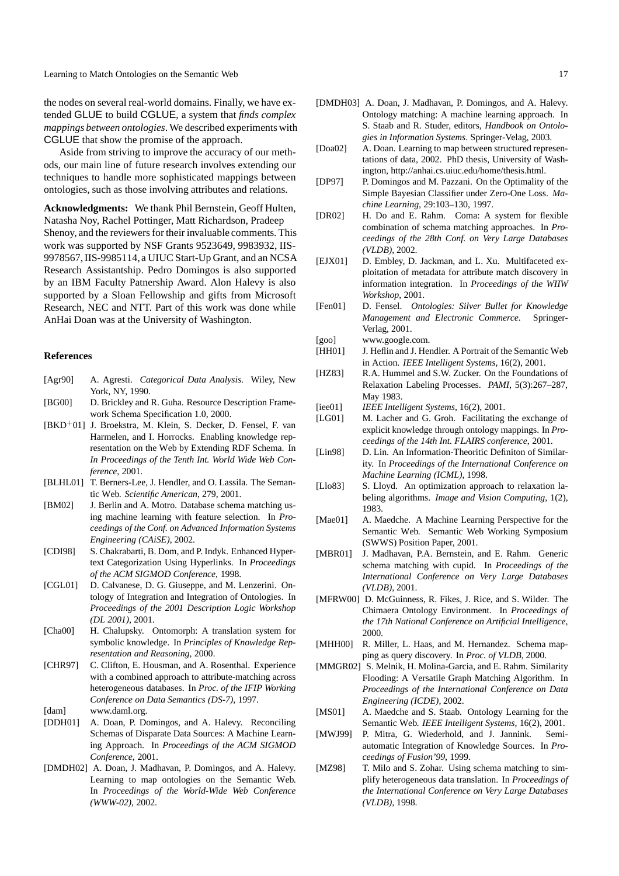the nodes on several real-world domains. Finally, we have extended GLUE to build CGLUE, a system that *finds complex mappings between ontologies*. We described experiments with CGLUE that show the promise of the approach.

Aside from striving to improve the accuracy of our methods, our main line of future research involves extending our techniques to handle more sophisticated mappings between ontologies, such as those involving attributes and relations.

**Acknowledgments:** We thank Phil Bernstein, Geoff Hulten, Natasha Noy, Rachel Pottinger, Matt Richardson, Pradeep Shenoy, and the reviewers for their invaluable comments. This work was supported by NSF Grants 9523649, 9983932, IIS-9978567,IIS-9985114, a UIUC Start-Up Grant, and an NCSA Research Assistantship. Pedro Domingos is also supported by an IBM Faculty Patnership Award. Alon Halevy is also supported by a Sloan Fellowship and gifts from Microsoft Research, NEC and NTT. Part of this work was done while AnHai Doan was at the University of Washington.

#### **References**

- [Agr90] A. Agresti. *Categorical Data Analysis*. Wiley, New York, NY, 1990.
- [BG00] D. Brickley and R. Guha. Resource Description Framework Schema Specification 1.0, 2000.
- [BKD<sup>+</sup>01] J. Broekstra, M. Klein, S. Decker, D. Fensel, F. van Harmelen, and I. Horrocks. Enabling knowledge representation on the Web by Extending RDF Schema. In *In Proceedings of the Tenth Int. World Wide Web Conference*, 2001.
- [BLHL01] T. Berners-Lee, J. Hendler, and O. Lassila. The Semantic Web. *Scientific American*, 279, 2001.
- [BM02] J. Berlin and A. Motro. Database schema matching using machine learning with feature selection. In *Proceedings of the Conf. on Advanced Information Systems Engineering (CAiSE)*, 2002.
- [CDI98] S. Chakrabarti, B. Dom, and P. Indyk. Enhanced Hypertext Categorization Using Hyperlinks. In *Proceedings of the ACM SIGMOD Conference*, 1998.
- [CGL01] D. Calvanese, D. G. Giuseppe, and M. Lenzerini. Ontology of Integration and Integration of Ontologies. In *Proceedings of the 2001 Description Logic Workshop (DL 2001)*, 2001.
- [Cha00] H. Chalupsky. Ontomorph: A translation system for symbolic knowledge. In *Principles of Knowledge Representation and Reasoning*, 2000.
- [CHR97] C. Clifton, E. Housman, and A. Rosenthal. Experience with a combined approach to attribute-matching across heterogeneous databases. In *Proc. of the IFIP Working Conference on Data Semantics (DS-7)*, 1997. [dam] www.daml.org.
- 
- [DDH01] A. Doan, P. Domingos, and A. Halevy. Reconciling Schemas of Disparate Data Sources: A Machine Learning Approach. In *Proceedings of the ACM SIGMOD Conference*, 2001.
- [DMDH02] A. Doan, J. Madhavan, P. Domingos, and A. Halevy. Learning to map ontologies on the Semantic Web. In *Proceedings of the World-Wide Web Conference (WWW-02)*, 2002.
- [DMDH03] A. Doan, J. Madhavan, P. Domingos, and A. Halevy. Ontology matching: A machine learning approach. In S. Staab and R. Studer, editors, *Handbook on Ontologies in Information Systems*. Springer-Velag, 2003.
- [Doa02] A. Doan. Learning to map between structured representations of data, 2002. PhD thesis, University of Washington, http://anhai.cs.uiuc.edu/home/thesis.html.
- [DP97] P. Domingos and M. Pazzani. On the Optimality of the Simple Bayesian Classifier under Zero-One Loss. *Machine Learning*, 29:103–130, 1997.
- [DR02] H. Do and E. Rahm. Coma: A system for flexible combination of schema matching approaches. In *Proceedings of the 28th Conf. on Very Large Databases (VLDB)*, 2002.
- [EJX01] D. Embley, D. Jackman, and L. Xu. Multifaceted exploitation of metadata for attribute match discovery in information integration. In *Proceedings of the WIIW Workshop*, 2001.
- [Fen01] D. Fensel. *Ontologies: Silver Bullet for Knowledge Management and Electronic Commerce*. Springer-Verlag, 2001.
- [goo] www.google.com.
- [HH01] J. Heflin and J. Hendler. A Portrait of the Semantic Web in Action. *IEEE Intelligent Systems*, 16(2), 2001.
- [HZ83] R.A. Hummel and S.W. Zucker. On the Foundations of Relaxation Labeling Processes. *PAMI*, 5(3):267–287, May 1983.
- [iee01] *IEEE Intelligent Systems*, 16(2), 2001.
- [LG01] M. Lacher and G. Groh. Facilitating the exchange of explicit knowledge through ontology mappings. In *Proceedings of the 14th Int. FLAIRS conference*, 2001.
- [Lin98] D. Lin. An Information-Theoritic Definiton of Similarity. In *Proceedings of the International Conference on Machine Learning (ICML)*, 1998.
- [Llo83] S. Lloyd. An optimization approach to relaxation labeling algorithms. *Image and Vision Computing*, 1(2), 1983.
- [Mae01] A. Maedche. A Machine Learning Perspective for the Semantic Web. Semantic Web Working Symposium (SWWS) Position Paper, 2001.
- [MBR01] J. Madhavan, P.A. Bernstein, and E. Rahm. Generic schema matching with cupid. In *Proceedings of the International Conference on Very Large Databases (VLDB)*, 2001.
- [MFRW00] D. McGuinness, R. Fikes, J. Rice, and S. Wilder. The Chimaera Ontology Environment. In *Proceedings of the 17th National Conference on Artificial Intelligence*, 2000.
- [MHH00] R. Miller, L. Haas, and M. Hernandez. Schema mapping as query discovery. In *Proc. of VLDB*, 2000.
- [MMGR02] S. Melnik, H. Molina-Garcia, and E. Rahm. Similarity Flooding: A Versatile Graph Matching Algorithm. In *Proceedings of the International Conference on Data Engineering (ICDE)*, 2002.
- [MS01] A. Maedche and S. Staab. Ontology Learning for the Semantic Web. *IEEE Intelligent Systems*, 16(2), 2001.
- [MWJ99] P. Mitra, G. Wiederhold, and J. Jannink. Semiautomatic Integration of Knowledge Sources. In *Proceedings of Fusion'99*, 1999.
- [MZ98] T. Milo and S. Zohar. Using schema matching to simplify heterogeneous data translation. In *Proceedings of the International Conference on Very Large Databases (VLDB)*, 1998.